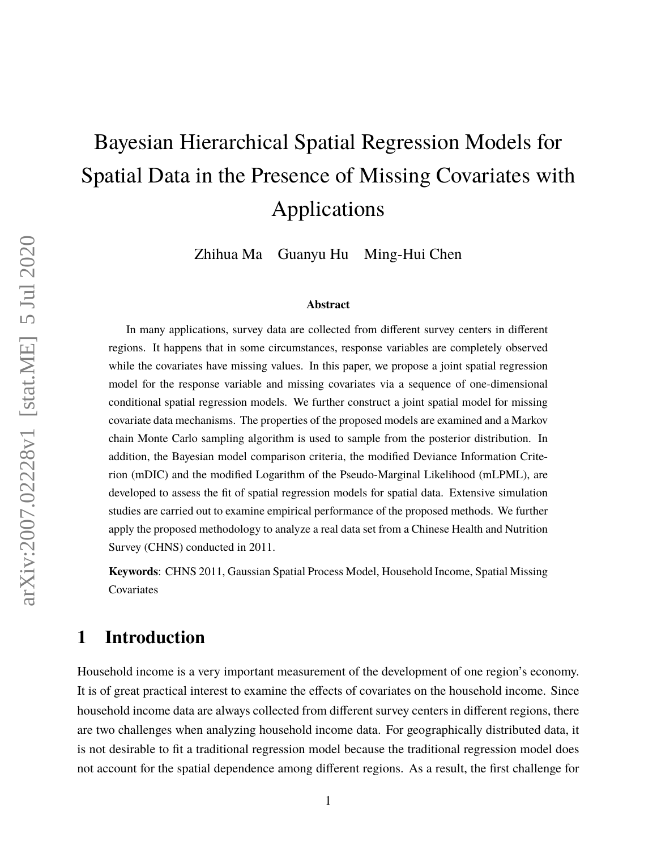# Bayesian Hierarchical Spatial Regression Models for Spatial Data in the Presence of Missing Covariates with Applications

Zhihua Ma Guanyu Hu Ming-Hui Chen

#### **Abstract**

In many applications, survey data are collected from different survey centers in different regions. It happens that in some circumstances, response variables are completely observed while the covariates have missing values. In this paper, we propose a joint spatial regression model for the response variable and missing covariates via a sequence of one-dimensional conditional spatial regression models. We further construct a joint spatial model for missing covariate data mechanisms. The properties of the proposed models are examined and a Markov chain Monte Carlo sampling algorithm is used to sample from the posterior distribution. In addition, the Bayesian model comparison criteria, the modified Deviance Information Criterion (mDIC) and the modified Logarithm of the Pseudo-Marginal Likelihood (mLPML), are developed to assess the fit of spatial regression models for spatial data. Extensive simulation studies are carried out to examine empirical performance of the proposed methods. We further apply the proposed methodology to analyze a real data set from a Chinese Health and Nutrition Survey (CHNS) conducted in 2011.

**Keywords**: CHNS 2011, Gaussian Spatial Process Model, Household Income, Spatial Missing Covariates

### **1 Introduction**

Household income is a very important measurement of the development of one region's economy. It is of great practical interest to examine the effects of covariates on the household income. Since household income data are always collected from different survey centers in different regions, there are two challenges when analyzing household income data. For geographically distributed data, it is not desirable to fit a traditional regression model because the traditional regression model does not account for the spatial dependence among different regions. As a result, the first challenge for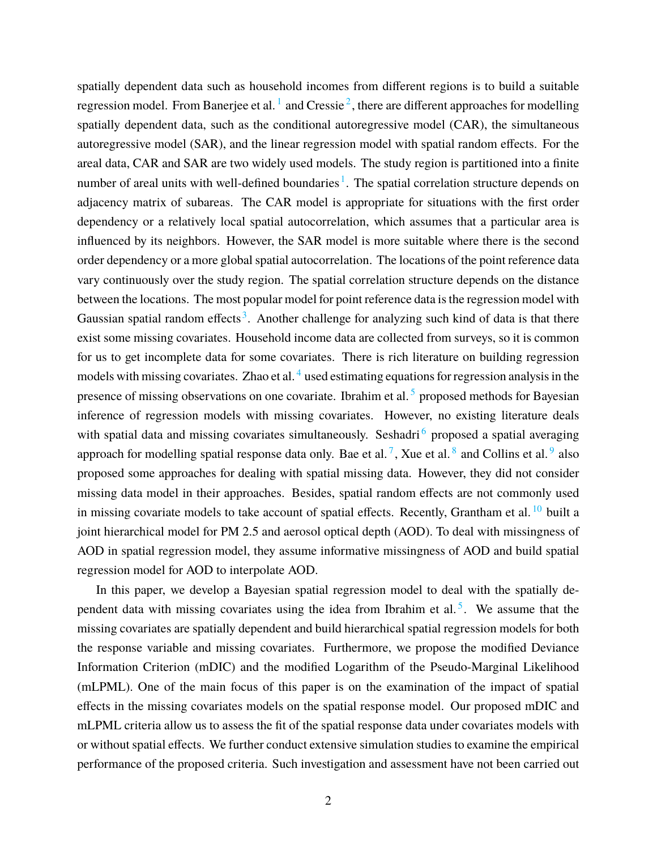spatially dependent data such as household incomes from different regions is to build a suitable regression model. From Banerjee et al.  $^1$  $^1$  and Cressie  $^2$  $^2$ , there are different approaches for modelling spatially dependent data, such as the conditional autoregressive model (CAR), the simultaneous autoregressive model (SAR), and the linear regression model with spatial random effects. For the areal data, CAR and SAR are two widely used models. The study region is partitioned into a finite number of areal units with well-defined boundaries<sup>[1](#page-22-0)</sup>. The spatial correlation structure depends on adjacency matrix of subareas. The CAR model is appropriate for situations with the first order dependency or a relatively local spatial autocorrelation, which assumes that a particular area is influenced by its neighbors. However, the SAR model is more suitable where there is the second order dependency or a more global spatial autocorrelation. The locations of the point reference data vary continuously over the study region. The spatial correlation structure depends on the distance between the locations. The most popular model for point reference data is the regression model with Gaussian spatial random effects<sup>[3](#page-23-1)</sup>. Another challenge for analyzing such kind of data is that there exist some missing covariates. Household income data are collected from surveys, so it is common for us to get incomplete data for some covariates. There is rich literature on building regression models with missing covariates. Zhao et al.<sup>[4](#page-23-2)</sup> used estimating equations for regression analysis in the presence of missing observations on one covariate. Ibrahim et al.<sup>[5](#page-23-3)</sup> proposed methods for Bayesian inference of regression models with missing covariates. However, no existing literature deals with spatial data and missing covariates simultaneously. Seshadri<sup>[6](#page-23-4)</sup> proposed a spatial averaging approach for modelling spatial response data only. Bae et al.<sup>[7](#page-23-5)</sup>, Xue et al.<sup>[8](#page-23-6)</sup> and Collins et al.<sup>[9](#page-23-7)</sup> also proposed some approaches for dealing with spatial missing data. However, they did not consider missing data model in their approaches. Besides, spatial random effects are not commonly used in missing covariate models to take account of spatial effects. Recently, Grantham et al.<sup>[10](#page-23-8)</sup> built a joint hierarchical model for PM 2.5 and aerosol optical depth (AOD). To deal with missingness of AOD in spatial regression model, they assume informative missingness of AOD and build spatial regression model for AOD to interpolate AOD.

In this paper, we develop a Bayesian spatial regression model to deal with the spatially de-pendent data with missing covariates using the idea from Ibrahim et al.<sup>[5](#page-23-3)</sup>. We assume that the missing covariates are spatially dependent and build hierarchical spatial regression models for both the response variable and missing covariates. Furthermore, we propose the modified Deviance Information Criterion (mDIC) and the modified Logarithm of the Pseudo-Marginal Likelihood (mLPML). One of the main focus of this paper is on the examination of the impact of spatial effects in the missing covariates models on the spatial response model. Our proposed mDIC and mLPML criteria allow us to assess the fit of the spatial response data under covariates models with or without spatial effects. We further conduct extensive simulation studies to examine the empirical performance of the proposed criteria. Such investigation and assessment have not been carried out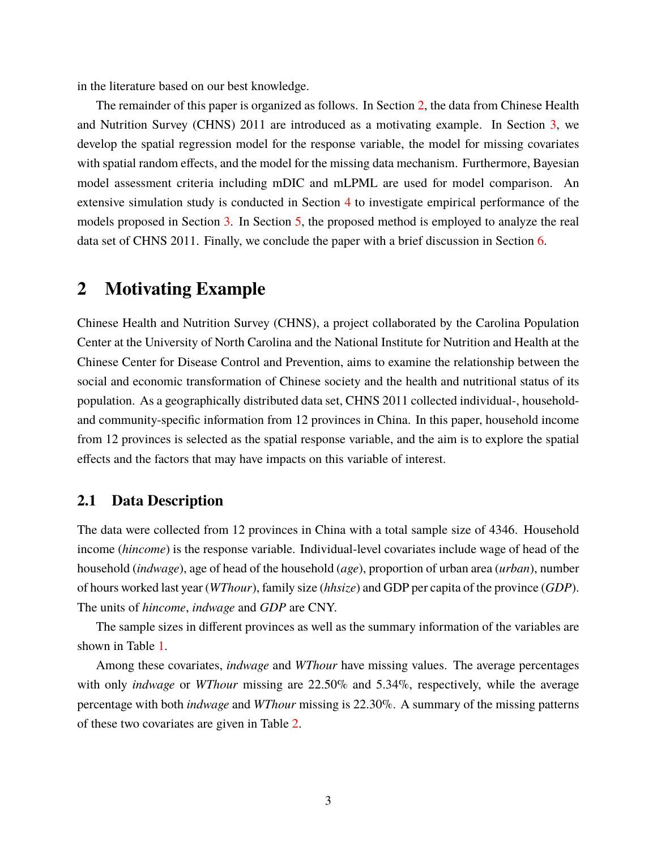in the literature based on our best knowledge.

The remainder of this paper is organized as follows. In Section [2,](#page-2-0) the data from Chinese Health and Nutrition Survey (CHNS) 2011 are introduced as a motivating example. In Section [3,](#page-4-0) we develop the spatial regression model for the response variable, the model for missing covariates with spatial random effects, and the model for the missing data mechanism. Furthermore, Bayesian model assessment criteria including mDIC and mLPML are used for model comparison. An extensive simulation study is conducted in Section [4](#page-11-0) to investigate empirical performance of the models proposed in Section [3.](#page-4-0) In Section [5,](#page-17-0) the proposed method is employed to analyze the real data set of CHNS 2011. Finally, we conclude the paper with a brief discussion in Section [6.](#page-21-0)

### <span id="page-2-0"></span>**2 Motivating Example**

Chinese Health and Nutrition Survey (CHNS), a project collaborated by the Carolina Population Center at the University of North Carolina and the National Institute for Nutrition and Health at the Chinese Center for Disease Control and Prevention, aims to examine the relationship between the social and economic transformation of Chinese society and the health and nutritional status of its population. As a geographically distributed data set, CHNS 2011 collected individual-, householdand community-specific information from 12 provinces in China. In this paper, household income from 12 provinces is selected as the spatial response variable, and the aim is to explore the spatial effects and the factors that may have impacts on this variable of interest.

### **2.1 Data Description**

The data were collected from 12 provinces in China with a total sample size of 4346. Household income (*hincome*) is the response variable. Individual-level covariates include wage of head of the household (*indwage*), age of head of the household (*age*), proportion of urban area (*urban*), number of hours worked last year (*WThour*), family size (*hhsize*) and GDP per capita of the province (*GDP*). The units of *hincome*, *indwage* and *GDP* are CNY.

The sample sizes in different provinces as well as the summary information of the variables are shown in Table [1.](#page-3-0)

Among these covariates, *indwage* and *WThour* have missing values. The average percentages with only *indwage* or *WThour* missing are 22.50% and 5.34%, respectively, while the average percentage with both *indwage* and *WThour* missing is 22.30%. A summary of the missing patterns of these two covariates are given in Table [2.](#page-4-1)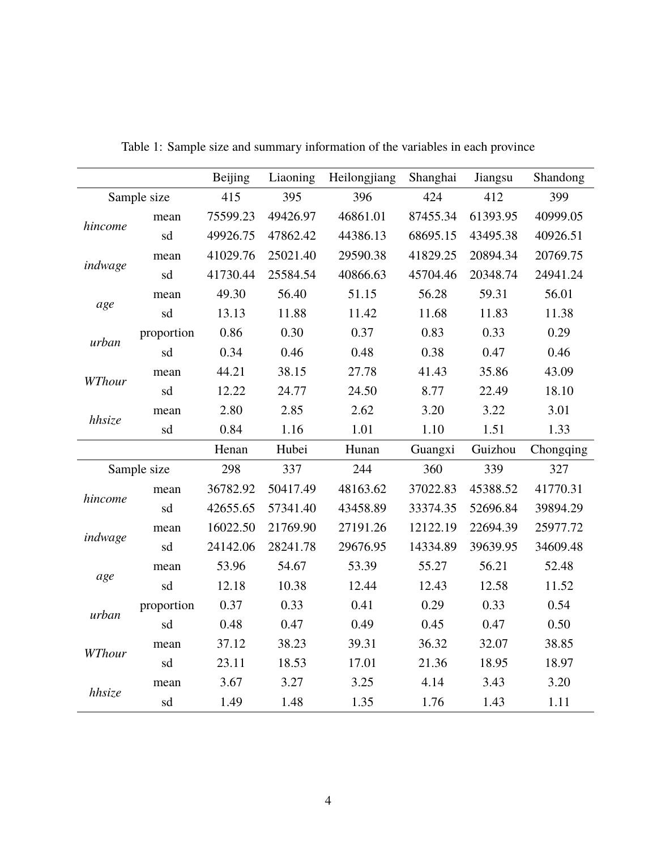<span id="page-3-0"></span>

|         |             | <b>Beijing</b> | Liaoning | Heilongjiang | Shanghai                                                                                                                                  | Jiangsu  | Shandong  |
|---------|-------------|----------------|----------|--------------|-------------------------------------------------------------------------------------------------------------------------------------------|----------|-----------|
|         | Sample size | 415            | 395      | 396          |                                                                                                                                           | 412      | 399       |
| hincome | mean        | 75599.23       | 49426.97 | 46861.01     | 87455.34                                                                                                                                  | 61393.95 | 40999.05  |
|         | sd          | 49926.75       | 47862.42 | 44386.13     | 68695.15                                                                                                                                  | 43495.38 | 40926.51  |
|         | mean        | 41029.76       | 25021.40 | 29590.38     | 41829.25                                                                                                                                  | 20894.34 | 20769.75  |
| indwage | sd          | 41730.44       | 25584.54 | 40866.63     | 45704.46                                                                                                                                  | 20348.74 | 24941.24  |
|         | mean        | 49.30          | 56.40    | 51.15        | 56.28                                                                                                                                     | 59.31    | 56.01     |
| age     | sd          | 13.13          | 11.88    | 11.42        | 11.68                                                                                                                                     | 11.83    | 11.38     |
| urban   | proportion  | 0.86           | 0.30     | 0.37         | 0.83                                                                                                                                      | 0.33     | 0.29      |
|         | sd          | 0.34           | 0.46     | 0.48         | 0.38                                                                                                                                      | 0.47     | 0.46      |
| WThour  | mean        | 44.21          | 38.15    | 27.78        | 41.43                                                                                                                                     | 35.86    | 43.09     |
|         | sd          | 12.22          | 24.77    | 24.50        | 8.77                                                                                                                                      | 22.49    | 18.10     |
|         | mean        | 2.80           | 2.85     | 2.62         | 3.20                                                                                                                                      | 3.22     | 3.01      |
| hhsize  | sd          | 0.84           | 1.16     | 1.01         | 424<br>1.10<br>Guangxi<br>360<br>37022.83<br>33374.35<br>12122.19<br>14334.89<br>55.27<br>12.43<br>0.29<br>0.45<br>36.32<br>21.36<br>4.14 | 1.51     | 1.33      |
|         |             | Henan          | Hubei    | Hunan        |                                                                                                                                           | Guizhou  | Chongqing |
|         | Sample size | 298            | 337      | 244          |                                                                                                                                           | 339      | 327       |
|         | mean        | 36782.92       | 50417.49 | 48163.62     |                                                                                                                                           | 45388.52 | 41770.31  |
| hincome | sd          | 42655.65       | 57341.40 | 43458.89     |                                                                                                                                           | 52696.84 | 39894.29  |
|         | mean        | 16022.50       | 21769.90 | 27191.26     |                                                                                                                                           | 22694.39 | 25977.72  |
| indwage | sd          | 24142.06       | 28241.78 | 29676.95     |                                                                                                                                           | 39639.95 | 34609.48  |
|         | mean        | 53.96          | 54.67    | 53.39        |                                                                                                                                           | 56.21    | 52.48     |
| age     | sd          | 12.18          | 10.38    | 12.44        |                                                                                                                                           | 12.58    | 11.52     |
|         | proportion  | 0.37           | 0.33     | 0.41         |                                                                                                                                           | 0.33     | 0.54      |
| urban   | sd          | 0.48           | 0.47     | 0.49         |                                                                                                                                           | 0.47     | 0.50      |
|         | mean        | 37.12          | 38.23    | 39.31        |                                                                                                                                           | 32.07    | 38.85     |
| WThour  | sd          | 23.11          | 18.53    | 17.01        |                                                                                                                                           | 18.95    | 18.97     |
|         | mean        | 3.67           | 3.27     | 3.25         |                                                                                                                                           | 3.43     | 3.20      |
| hhsize  | sd          | 1.49           | 1.48     | 1.35         | 1.76                                                                                                                                      | 1.43     | 1.11      |

Table 1: Sample size and summary information of the variables in each province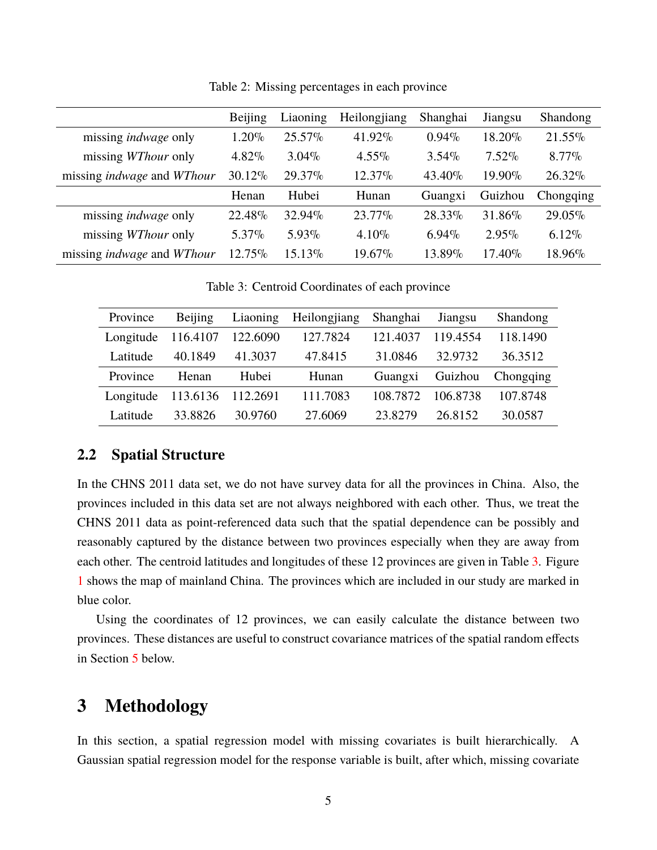<span id="page-4-1"></span>

|                                          | Beijing  | Liaoning  | Heilongjiang | Shanghai | Jiangsu   | Shandong  |
|------------------------------------------|----------|-----------|--------------|----------|-----------|-----------|
| missing <i>indwage</i> only              | 1.20%    | $25.57\%$ | 41.92%       | $0.94\%$ | 18.20%    | 21.55%    |
| missing <i>WThour</i> only               | $4.82\%$ | $3.04\%$  | $4.55\%$     | $3.54\%$ | $7.52\%$  | $8.77\%$  |
| missing <i>indwage</i> and <i>WThour</i> | 30.12%   | 29.37%    | $12.37\%$    | 43.40%   | 19.90%    | 26.32%    |
|                                          | Henan    | Hubei     | Hunan        | Guangxi  | Guizhou   | Chongqing |
| missing <i>indwage</i> only              | 22.48%   | 32.94%    | $23.77\%$    | 28.33%   | 31.86%    | 29.05%    |
| missing <i>WThour</i> only               | 5.37%    | $5.93\%$  | $4.10\%$     | $6.94\%$ | $2.95\%$  | $6.12\%$  |
| missing <i>indwage</i> and <i>WThour</i> | 12.75%   | 15.13%    | 19.67%       | 13.89%   | $17.40\%$ | 18.96%    |

Table 2: Missing percentages in each province

Table 3: Centroid Coordinates of each province

<span id="page-4-2"></span>

| Province  | Beijing  | Liaoning | Heilongjiang | Shanghai | Jiangsu  | Shandong  |
|-----------|----------|----------|--------------|----------|----------|-----------|
| Longitude | 116.4107 | 122.6090 | 127.7824     | 121.4037 | 119.4554 | 118.1490  |
| Latitude  | 40.1849  | 41.3037  | 47.8415      | 31.0846  | 32.9732  | 36.3512   |
| Province  | Henan    | Hubei    | Hunan        | Guangxi  | Guizhou  | Chongqing |
| Longitude | 113.6136 | 112.2691 | 111.7083     | 108.7872 | 106.8738 | 107.8748  |
| Latitude  | 33.8826  | 30.9760  | 27.6069      | 23.8279  | 26.8152  | 30.0587   |

### **2.2 Spatial Structure**

In the CHNS 2011 data set, we do not have survey data for all the provinces in China. Also, the provinces included in this data set are not always neighbored with each other. Thus, we treat the CHNS 2011 data as point-referenced data such that the spatial dependence can be possibly and reasonably captured by the distance between two provinces especially when they are away from each other. The centroid latitudes and longitudes of these 12 provinces are given in Table [3.](#page-4-2) Figure [1](#page-5-0) shows the map of mainland China. The provinces which are included in our study are marked in blue color.

Using the coordinates of 12 provinces, we can easily calculate the distance between two provinces. These distances are useful to construct covariance matrices of the spatial random effects in Section [5](#page-17-0) below.

### <span id="page-4-0"></span>**3 Methodology**

In this section, a spatial regression model with missing covariates is built hierarchically. A Gaussian spatial regression model for the response variable is built, after which, missing covariate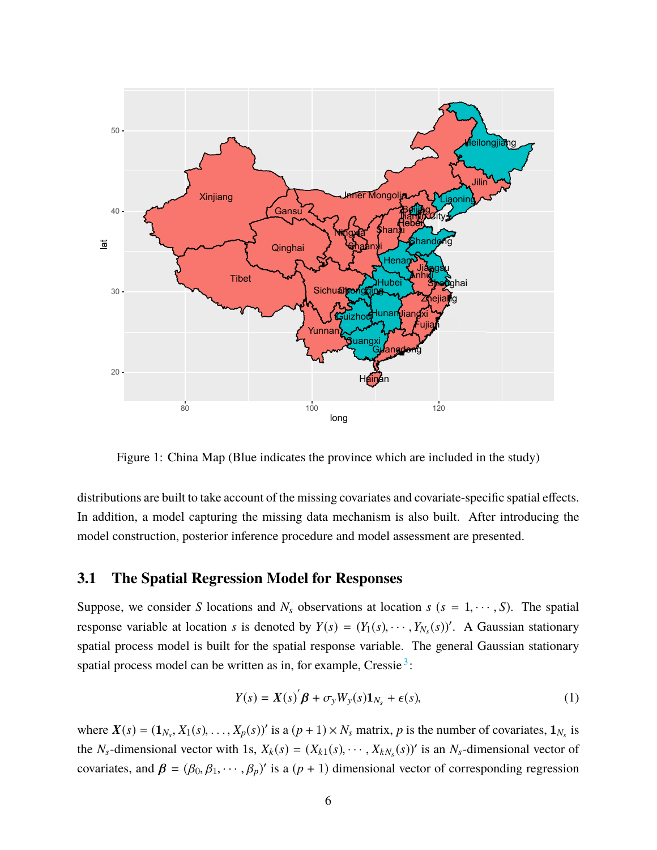<span id="page-5-0"></span>

Figure 1: China Map (Blue indicates the province which are included in the study)

distributions are built to take account of the missing covariates and covariate-specific spatial effects. In addition, a model capturing the missing data mechanism is also built. After introducing the model construction, posterior inference procedure and model assessment are presented.

#### <span id="page-5-2"></span>**3.1 The Spatial Regression Model for Responses**

Suppose, we consider *S* locations and  $N_s$  observations at location  $s$  ( $s = 1, \dots, S$ ). The spatial response variable at location *s* is denoted by  $Y(s) = (Y_1(s), \dots, Y_{N_s}(s))'$ . A Gaussian stationary spatial process model is built for the spatial response variable. The general Gaussian stationary spatial process model can be written as in, for example, Cressie<sup>[3](#page-23-1)</sup>:

<span id="page-5-1"></span>
$$
Y(s) = X(s)\overset{\prime}{\beta} + \sigma_y W_y(s)\mathbf{1}_{N_s} + \epsilon(s),\tag{1}
$$

where  $X(s) = (1_{N_s}, X_1(s), \ldots, X_p(s))'$  is a  $(p+1) \times N_s$  matrix, *p* is the number of covariates,  $1_{N_s}$  is the *N<sub>s</sub>*-dimensional vector with 1s,  $X_k(s) = (X_{k1}(s), \dots, X_{kN_s}(s))'$  is an  $N_s$ -dimensional vector of covariates, and  $\boldsymbol{\beta} = (\beta_0, \beta_1, \dots, \beta_p)'$  is a  $(p + 1)$  dimensional vector of corresponding regression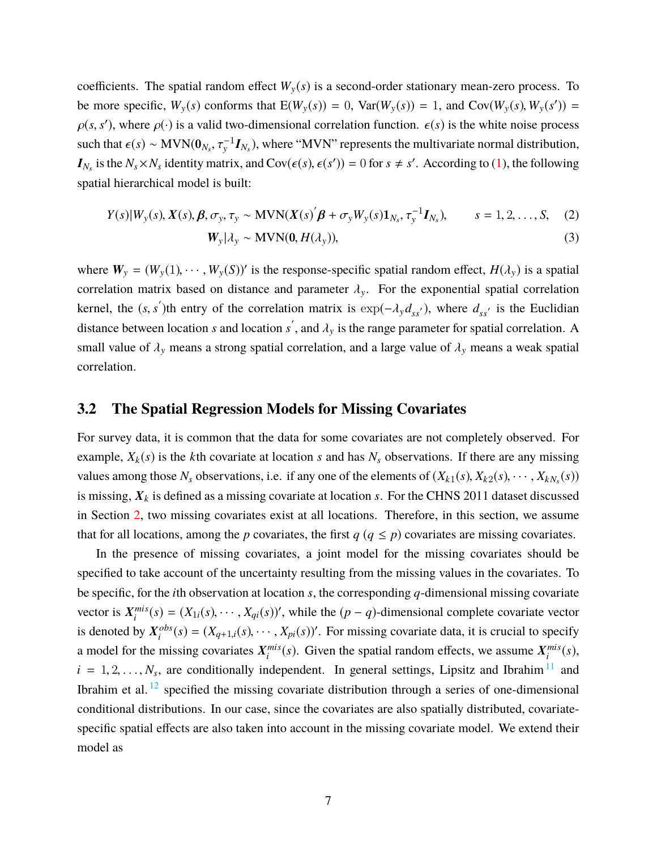coefficients. The spatial random effect  $W_y(s)$  is a second-order stationary mean-zero process. To be more specific,  $W_y(s)$  conforms that  $E(W_y(s)) = 0$ ,  $Var(W_y(s)) = 1$ , and  $Cov(W_y(s), W_y(s')) =$  $\rho(s, s')$ , where  $\rho(\cdot)$  is a valid two-dimensional correlation function.  $\epsilon(s)$  is the white noise process such that  $\epsilon(s) \sim \text{MVN}(0_{N_s}, \tau_y^{-1}I_{N_s})$ , where "MVN" represents the multivariate normal distribution,  $I_{N_s}$  is the  $N_s \times N_s$  identity matrix, and  $Cov(\epsilon(s), \epsilon(s')) = 0$  for  $s \neq s'$ . According to [\(1\)](#page-5-1), the following spatial hierarchical model is built:

<span id="page-6-1"></span><span id="page-6-0"></span>
$$
Y(s)|W_{y}(s), X(s), \beta, \sigma_{y}, \tau_{y} \sim \text{MVN}(X(s)'\beta + \sigma_{y}W_{y}(s)\mathbf{1}_{N_{s}}, \tau_{y}^{-1}\mathbf{I}_{N_{s}}), \qquad s = 1, 2, ..., S,
$$
 (2)  

$$
W_{y}|\lambda_{y} \sim \text{MVN}(0, H(\lambda_{y})),
$$
 (3)

where  $W_y = (W_y(1), \dots, W_y(S))'$  is the response-specific spatial random effect,  $H(\lambda_y)$  is a spatial correlation matrix based on distance and parameter  $\lambda_{v}$ . For the exponential spatial correlation kernel, the  $(s, s')$ th entry of the correlation matrix is  $\exp(-\lambda_y d_{ss'})$ , where  $d_{ss'}$  is the Euclidian distance between location *s* and location  $s'$ , and  $\lambda_y$  is the range parameter for spatial correlation. A small value of  $\lambda_y$  means a strong spatial correlation, and a large value of  $\lambda_y$  means a weak spatial correlation.

#### **3.2 The Spatial Regression Models for Missing Covariates**

For survey data, it is common that the data for some covariates are not completely observed. For example,  $X_k(s)$  is the *k*th covariate at location *s* and has  $N_s$  observations. If there are any missing values among those  $N_s$  observations, i.e. if any one of the elements of  $(X_{k1}(s), X_{k2}(s), \dots, X_{kN_s}(s))$ is missing, X*<sup>k</sup>* is defined as a missing covariate at location *s*. For the CHNS 2011 dataset discussed in Section [2,](#page-2-0) two missing covariates exist at all locations. Therefore, in this section, we assume that for all locations, among the *p* covariates, the first  $q$  ( $q \leq p$ ) covariates are missing covariates.

In the presence of missing covariates, a joint model for the missing covariates should be specified to take account of the uncertainty resulting from the missing values in the covariates. To be specific, for the *i*th observation at location *s*, the corresponding *q*-dimensional missing covariate vector is X *mis*  $\hat{f}_i^{mis}(s) = (X_{1i}(s), \dots, X_{qi}(s))'$ , while the (*p* − *q*)-dimensional complete covariate vector is denoted by  $X_i^{obs}$  $i^{obs}(s) = (X_{q+1,i}(s), \dots, X_{pi}(s))'$ . For missing covariate data, it is crucial to specify a model for the missing covariates X *mis*  $\sum_{i}^{mis}(s)$ . Given the spatial random effects, we assume  $X_i^{mis}$  $\binom{mis}{i}(s)$ ,  $i = 1, 2, \ldots, N_s$ , are conditionally independent. In general settings, Lipsitz and Ibrahim<sup>[11](#page-23-9)</sup> and Ibrahim et al.  $^{12}$  $^{12}$  $^{12}$  specified the missing covariate distribution through a series of one-dimensional conditional distributions. In our case, since the covariates are also spatially distributed, covariatespecific spatial effects are also taken into account in the missing covariate model. We extend their model as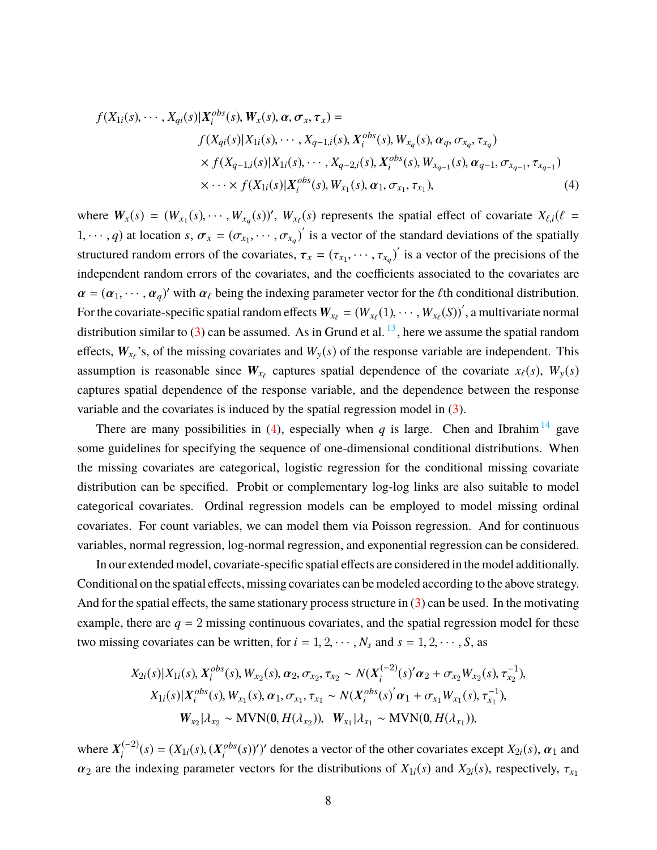<span id="page-7-0"></span>
$$
f(X_{1i}(s),\cdots,X_{qi}(s)|X_{i}^{obs}(s),W_{x}(s),\alpha,\sigma_{x},\tau_{x}) =
$$
  
\n
$$
f(X_{qi}(s)|X_{1i}(s),\cdots,X_{q-1,i}(s),X_{i}^{obs}(s),W_{x_{q}}(s),\alpha_{q},\sigma_{x_{q}},\tau_{x_{q}})
$$
  
\n
$$
\times f(X_{q-1,i}(s)|X_{1i}(s),\cdots,X_{q-2,i}(s),X_{i}^{obs}(s),W_{x_{q-1}}(s),\alpha_{q-1},\sigma_{x_{q-1}},\tau_{x_{q-1}})
$$
  
\n
$$
\times \cdots \times f(X_{1i}(s)|X_{i}^{obs}(s),W_{x_{1}}(s),\alpha_{1},\sigma_{x_{1}},\tau_{x_{1}}),
$$
\n(4)

where  $W_x(s) = (W_{x_1}(s), \dots, W_{x_q}(s))'$ ,  $W_{x_\ell}(s)$  represents the spatial effect of covariate  $X_{\ell,i}(\ell =$ 1,  $\cdots$ , *q*) at location *s*,  $\sigma_x = (\sigma_{x_1}, \cdots, \sigma_{x_q})'$  is a vector of the standard deviations of the spatially structured random errors of the covariates,  $\tau_x = (\tau_{x_1}, \dots, \tau_{x_q})'$  is a vector of the precisions of the independent random errors of the covariates, and the coefficients associated to the covariates are  $\alpha = (\alpha_1, \dots, \alpha_q)'$  with  $\alpha_\ell$  being the indexing parameter vector for the  $\ell$ th conditional distribution. For the covariate-specific spatial random effects  $W_{x_\ell} = (W_{x_\ell}(1), \cdots, W_{x_\ell}(S))'$ , a multivariate normal distribution similar to [\(3\)](#page-6-0) can be assumed. As in Grund et al.  $^{13}$  $^{13}$  $^{13}$ , here we assume the spatial random effects,  $W_{x_\ell}$ 's, of the missing covariates and  $W_y(s)$  of the response variable are independent. This assumption is reasonable since  $W_{x_\ell}$  captures spatial dependence of the covariate  $x_\ell(s)$ ,  $W_y(s)$ captures spatial dependence of the response variable, and the dependence between the response variable and the covariates is induced by the spatial regression model in [\(3\)](#page-6-0).

There are many possibilities in ([4](#page-7-0)), especially when *q* is large. Chen and Ibrahim<sup>[14](#page-23-12)</sup> gave some guidelines for specifying the sequence of one-dimensional conditional distributions. When the missing covariates are categorical, logistic regression for the conditional missing covariate distribution can be specified. Probit or complementary log-log links are also suitable to model categorical covariates. Ordinal regression models can be employed to model missing ordinal covariates. For count variables, we can model them via Poisson regression. And for continuous variables, normal regression, log-normal regression, and exponential regression can be considered.

In our extended model, covariate-specific spatial effects are considered in the model additionally. Conditional on the spatial effects, missing covariates can be modeled according to the above strategy. And for the spatial effects, the same stationary process structure in [\(3\)](#page-6-0) can be used. In the motivating example, there are  $q = 2$  missing continuous covariates, and the spatial regression model for these two missing covariates can be written, for  $i = 1, 2, \dots, N_s$  and  $s = 1, 2, \dots, S$ , as

$$
X_{2i}(s)|X_{1i}(s), X_i^{obs}(s), W_{x_2}(s), \alpha_2, \sigma_{x_2}, \tau_{x_2} \sim N(X_i^{(-2)}(s)'\alpha_2 + \sigma_{x_2}W_{x_2}(s), \tau_{x_2}^{-1}),
$$
  
\n
$$
X_{1i}(s)|X_i^{obs}(s), W_{x_1}(s), \alpha_1, \sigma_{x_1}, \tau_{x_1} \sim N(X_i^{obs}(s)'\alpha_1 + \sigma_{x_1}W_{x_1}(s), \tau_{x_1}^{-1}),
$$
  
\n
$$
W_{x_2}|X_{x_2} \sim \text{MVN}(0, H(\lambda_{x_2})), \quad W_{x_1}|X_{x_1} \sim \text{MVN}(0, H(\lambda_{x_1})),
$$

where  $X_i^{(-2)}$  $(X_i^{(-2)}(s)) = (X_{1i}(s), (X_i^{obs})$  $\binom{obs}{i}(s)$ '' denotes a vector of the other covariates except *X*<sub>2*i*</sub>(*s*),  $\alpha_1$  and  $\alpha_2$  are the indexing parameter vectors for the distributions of  $X_{1i}(s)$  and  $X_{2i}(s)$ , respectively,  $\tau_{x_1}$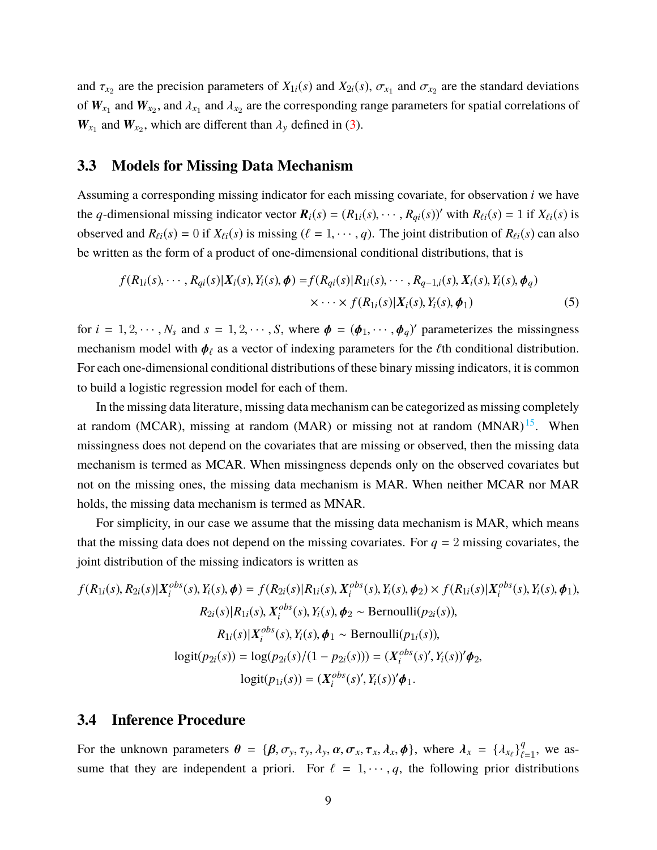and  $\tau_{x_2}$  are the precision parameters of  $X_{1i}(s)$  and  $X_{2i}(s)$ ,  $\sigma_{x_1}$  and  $\sigma_{x_2}$  are the standard deviations of  $W_{x_1}$  and  $W_{x_2}$ , and  $\lambda_{x_1}$  and  $\lambda_{x_2}$  are the corresponding range parameters for spatial correlations of  $W_{x_1}$  and  $W_{x_2}$ , which are different than  $\lambda_y$  defined in [\(3\)](#page-6-0).

#### **3.3 Models for Missing Data Mechanism**

Assuming a corresponding missing indicator for each missing covariate, for observation *i* we have the *q*-dimensional missing indicator vector  $\mathbf{R}_i(s) = (R_{1i}(s), \dots, R_{qi}(s))'$  with  $R_{\ell i}(s) = 1$  if  $X_{\ell i}(s)$  is observed and  $R_{\ell i}(s) = 0$  if  $X_{\ell i}(s)$  is missing ( $\ell = 1, \dots, q$ ). The joint distribution of  $R_{\ell i}(s)$  can also be written as the form of a product of one-dimensional conditional distributions, that is

<span id="page-8-0"></span>
$$
f(R_{1i}(s),\cdots,R_{qi}(s)|X_{i}(s),Y_{i}(s),\phi) = f(R_{qi}(s)|R_{1i}(s),\cdots,R_{q-1,i}(s),X_{i}(s),Y_{i}(s),\phi_{q})
$$
  

$$
\times \cdots \times f(R_{1i}(s)|X_{i}(s),Y_{i}(s),\phi_{1})
$$
(5)

for  $i = 1, 2, \dots, N_s$  and  $s = 1, 2, \dots, S$ , where  $\phi = (\phi_1, \dots, \phi_q)'$  parameterizes the missingness mechanism model with  $\phi_\ell$  as a vector of indexing parameters for the  $\ell$ th conditional distribution. For each one-dimensional conditional distributions of these binary missing indicators, it is common to build a logistic regression model for each of them.

In the missing data literature, missing data mechanism can be categorized as missing completely at random (MCAR), missing at random (MAR) or missing not at random  $(MNAR)^{15}$  $(MNAR)^{15}$  $(MNAR)^{15}$ . When missingness does not depend on the covariates that are missing or observed, then the missing data mechanism is termed as MCAR. When missingness depends only on the observed covariates but not on the missing ones, the missing data mechanism is MAR. When neither MCAR nor MAR holds, the missing data mechanism is termed as MNAR.

For simplicity, in our case we assume that the missing data mechanism is MAR, which means that the missing data does not depend on the missing covariates. For  $q = 2$  missing covariates, the joint distribution of the missing indicators is written as

$$
f(R_{1i}(s), R_{2i}(s)|X_i^{obs}(s), Y_i(s), \phi) = f(R_{2i}(s)|R_{1i}(s), X_i^{obs}(s), Y_i(s), \phi_2) \times f(R_{1i}(s)|X_i^{obs}(s), Y_i(s), \phi_1),
$$
  
\n
$$
R_{2i}(s)|R_{1i}(s), X_i^{obs}(s), Y_i(s), \phi_2 \sim \text{Bernoulli}(p_{2i}(s)),
$$
  
\n
$$
R_{1i}(s)|X_i^{obs}(s), Y_i(s), \phi_1 \sim \text{Bernoulli}(p_{1i}(s)),
$$
  
\n
$$
\text{logit}(p_{2i}(s)) = \log(p_{2i}(s)/(1 - p_{2i}(s))) = (X_i^{obs}(s)', Y_i(s))'\phi_2,
$$
  
\n
$$
\text{logit}(p_{1i}(s)) = (X_i^{obs}(s)', Y_i(s))'\phi_1.
$$

#### <span id="page-8-1"></span>**3.4 Inference Procedure**

For the unknown parameters  $\theta = {\beta, \sigma_y, \tau_y, \lambda_y, \alpha, \sigma_x, \tau_x, \lambda_x, \phi}$ , where  $\lambda_x = {\lambda_{x_\ell}}_{\ell_x}^q$  $_{\ell=1}^q$ , we assume that they are independent a priori. For  $\ell = 1, \dots, q$ , the following prior distributions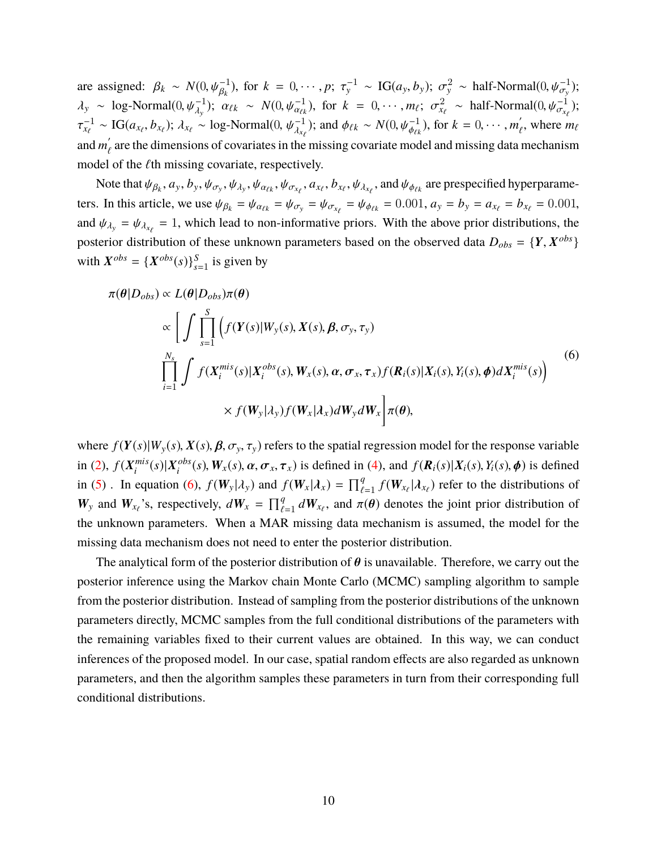are assigned:  $\beta_k \sim N(0, \psi_{\beta_k}^{-1})$ , for  $k = 0, \dots, p; \tau_y^{-1} \sim \text{IG}(a_y, b_y); \sigma_y^2 \sim \text{half-Normal}(0, \psi_{\sigma_y}^{-1})$ ;  $\lambda_y \sim \log \text{Normal}(0, \psi_{\lambda_y}^{-1}); \ \alpha_{\ell k} \sim N(0, \psi_{\alpha_{\ell k}}^{-1}), \text{ for } k = 0, \cdots, m_{\ell}; \ \sigma_{\lambda_\ell}^2 \sim \text{half-Normal}(0, \psi_{\alpha_{\lambda_\ell}}^{-1});$  $\lambda_y$ ,  $\alpha_{tk}$   $\cdots$   $\alpha_{\ell k}$ ,  $\alpha_{\ell k}$ ,  $\cdots$   $\cdots$   $\cdots$ ,  $\cdots$ ,  $\alpha_{k\ell}$   $\cdots$   $\cdots$   $\cdots$   $\cdots$ τ  $\frac{1}{x_{\ell}} \sim \text{IG}(a_{x_{\ell}}, b_{x_{\ell}}); \lambda_{x_{\ell}} \sim \text{log-Normal}(0, \psi_{\lambda_{x_{\ell}}}^{-1})$ ; and  $\phi_{\ell k} \sim N(0, \psi_{\phi_{\ell k}}^{-1})$ , for  $k = 0, \cdots, m'_{\ell}$ , where  $m_{\ell}$ and  $m'_{\ell}$  are the dimensions of covariates in the missing covariate model and missing data mechanism model of the  $\ell$ th missing covariate, respectively.

Note that  $\psi_{\beta_k}, a_y, b_y, \psi_{\sigma_y}, \psi_{\lambda_y}, \psi_{\alpha_{\ell k}}, \psi_{\sigma_{x_{\ell}}}, a_{x_{\ell}}, b_{x_{\ell}}, \psi_{\lambda_{x_{\ell}}},$  and  $\psi_{\phi_{\ell k}}$  are prespecified hyperparameters. In this article, we use  $\psi_{\beta_k} = \psi_{\alpha_{\ell k}} = \psi_{\sigma_y} = \psi_{\sigma_{x_\ell}} = \psi_{\phi_{\ell k}} = 0.001$ ,  $a_y = b_y = a_{x_\ell} = b_{x_\ell} = 0.001$ , and  $\psi_{\lambda_y} = \psi_{\lambda_{x_\ell}} = 1$ , which lead to non-informative priors. With the above prior distributions, the posterior distribution of these unknown parameters based on the observed data  $D_{obs} = \{Y, X^{obs}\}$ with  $X^{obs} = \{X^{obs}(s)\}_{s=1}^S$  is given by

<span id="page-9-0"></span>
$$
\pi(\theta|D_{obs}) \propto L(\theta|D_{obs})\pi(\theta)
$$
\n
$$
\propto \left[ \int \prod_{s=1}^{S} \left( f(Y(s)|W_{y}(s), X(s), \beta, \sigma_{y}, \tau_{y}) \right) \prod_{i=1}^{N_{s}} \int f(X_{i}^{mis}(s)|X_{i}^{obs}(s), W_{x}(s), \alpha, \sigma_{x}, \tau_{x}) f(R_{i}(s)|X_{i}(s), Y_{i}(s), \phi) dX_{i}^{mis}(s) \right)
$$
\n
$$
\times f(W_{y}|A_{y}) f(W_{x}|A_{x}) dW_{y} dW_{x} \right] \pi(\theta), \qquad (6)
$$

where  $f(Y(s)|W_y(s), X(s), \beta, \sigma_y, \tau_y)$  refers to the spatial regression model for the response variable in  $(2)$ ,  $f(X_i^{mis})$  $\binom{mis}{i}(s)$  |  $X_i^{obs}$  $\int_i^{obs}(s)$ ,  $W_x(s)$ ,  $\alpha$ ,  $\sigma_x$ ,  $\tau_x$ ) is defined in [\(4\)](#page-7-0), and  $f(R_i(s)|X_i(s), Y_i(s), \phi)$  is defined in [\(5\)](#page-8-0). In equation [\(6\)](#page-9-0),  $f(W_y | \lambda_y)$  and  $f(W_x | \lambda_x) = \prod_{\ell}^q$  $\frac{q}{\ell-1} f(\mathbf{W}_{x_{\ell}} | \lambda_{x_{\ell}})$  refer to the distributions of  $W_y$  and  $W_{x_\ell}$ 's, respectively,  $dW_x = \prod_{\ell}^q$  $\frac{q}{\ell-1} dW_{x_{\ell}}$ , and  $\pi(\theta)$  denotes the joint prior distribution of the unknown parameters. When a MAR missing data mechanism is assumed, the model for the missing data mechanism does not need to enter the posterior distribution.

The analytical form of the posterior distribution of  $\theta$  is unavailable. Therefore, we carry out the posterior inference using the Markov chain Monte Carlo (MCMC) sampling algorithm to sample from the posterior distribution. Instead of sampling from the posterior distributions of the unknown parameters directly, MCMC samples from the full conditional distributions of the parameters with the remaining variables fixed to their current values are obtained. In this way, we can conduct inferences of the proposed model. In our case, spatial random effects are also regarded as unknown parameters, and then the algorithm samples these parameters in turn from their corresponding full conditional distributions.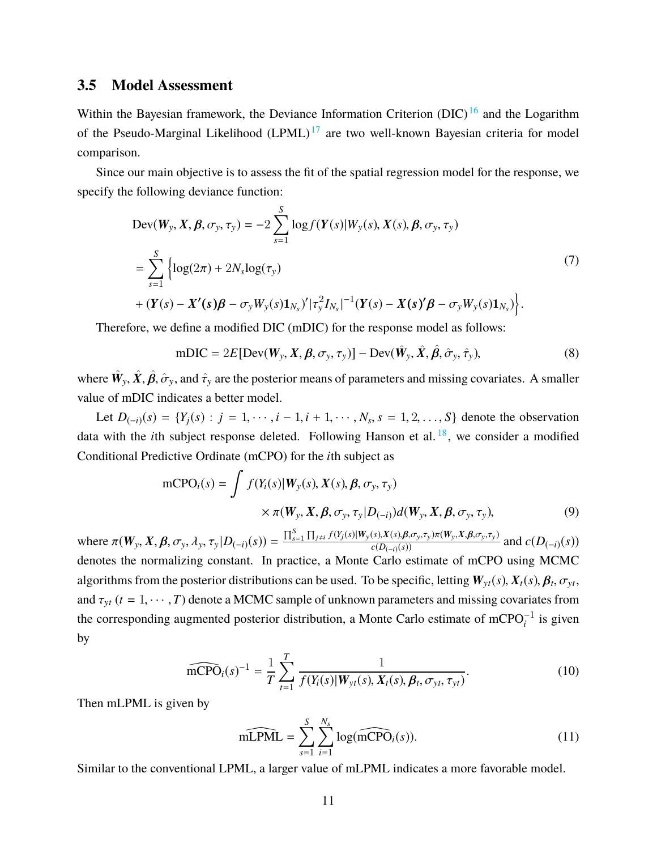#### <span id="page-10-0"></span>**3.5 Model Assessment**

Within the Bayesian framework, the Deviance Information Criterion (DIC)<sup>[16](#page-24-1)</sup> and the Logarithm of the Pseudo-Marginal Likelihood  $(LPML)^{17}$  $(LPML)^{17}$  $(LPML)^{17}$  are two well-known Bayesian criteria for model comparison.

Since our main objective is to assess the fit of the spatial regression model for the response, we specify the following deviance function:

$$
\begin{split} \text{Dev}(W_{y}, X, \beta, \sigma_{y}, \tau_{y}) &= -2 \sum_{s=1}^{S} \log f(Y(s)|W_{y}(s), X(s), \beta, \sigma_{y}, \tau_{y}) \\ &= \sum_{s=1}^{S} \left\{ \log(2\pi) + 2N_{s} \log(\tau_{y}) \right. \\ &\left. + (Y(s) - X'(s)\beta - \sigma_{y}W_{y}(s)\mathbf{1}_{N_{s}})' |\tau_{y}^{2} I_{N_{s}}|^{-1} (Y(s) - X(s)'\beta - \sigma_{y}W_{y}(s)\mathbf{1}_{N_{s}}) \right\} . \end{split} \tag{7}
$$

Therefore, we define a modified DIC (mDIC) for the response model as follows:

$$
mDIC = 2E[Dev(Wy, X, \beta, \sigmay, \tauy)] - Dev(\hat{W}y, \hat{X}, \hat{\beta}, \hat{\sigma}y, \hat{\tau}y),
$$
\n(8)

where  $\hat{W}_y$ ,  $\hat{X}$ ,  $\hat{\beta}$ ,  $\hat{\sigma}_y$ , and  $\hat{\tau}_y$  are the posterior means of parameters and missing covariates. A smaller value of mDIC indicates a better model.

Let  $D_{(-i)}(s) = \{Y_j(s) : j = 1, \dots, i-1, i+1, \dots, N_s, s = 1, 2, \dots, S\}$  denote the observation data with the *i*th subject response deleted. Following Hanson et al.  $18$ , we consider a modified Conditional Predictive Ordinate (mCPO) for the *i*th subject as

$$
\text{mCPO}_{i}(s) = \int f(Y_{i}(s)|W_{y}(s), X(s), \beta, \sigma_{y}, \tau_{y})
$$

$$
\times \pi(W_{y}, X, \beta, \sigma_{y}, \tau_{y}|D_{(-i)})d(W_{y}, X, \beta, \sigma_{y}, \tau_{y}),
$$
(9)

where  $\pi(W_y, X, \beta, \sigma_y, \lambda_y, \tau_y | D_{(-i)}(s)) = \frac{\prod_{s=1}^S \prod_{j \neq i} f(Y_j(s) | W_y(s), X(s), \beta, \sigma_y, \tau_y) \pi(W_y, X, \beta, \sigma_y, \tau_y)}{c(D_{(-i)}(s))}$  and  $c(D_{(-i)}(s))$ denotes the normalizing constant. In practice, a Monte Carlo estimate of mCPO using MCMC algorithms from the posterior distributions can be used. To be specific, letting  $W_{yt}(s)$ ,  $X_t(s)$ ,  $\beta_t$ ,  $\sigma_{yt}$ , , σy*<sup>t</sup>* and  $\tau_{yt}$  ( $t = 1, \dots, T$ ) denote a MCMC sample of unknown parameters and missing covariates from the corresponding augmented posterior distribution, a Monte Carlo estimate of mCPO $_i^{-1}$  is given by

$$
\widehat{\text{mCPO}}_i(s)^{-1} = \frac{1}{T} \sum_{t=1}^T \frac{1}{f(Y_i(s)|W_{yt}(s), X_t(s), \beta_t, \sigma_{yt}, \tau_{yt})}.
$$
 (10)

Then mLPML is given by

$$
\widehat{\text{mLPML}} = \sum_{s=1}^{S} \sum_{i=1}^{N_s} \log(\widehat{\text{mCPO}}_i(s)).
$$
\n(11)

Similar to the conventional LPML, a larger value of mLPML indicates a more favorable model.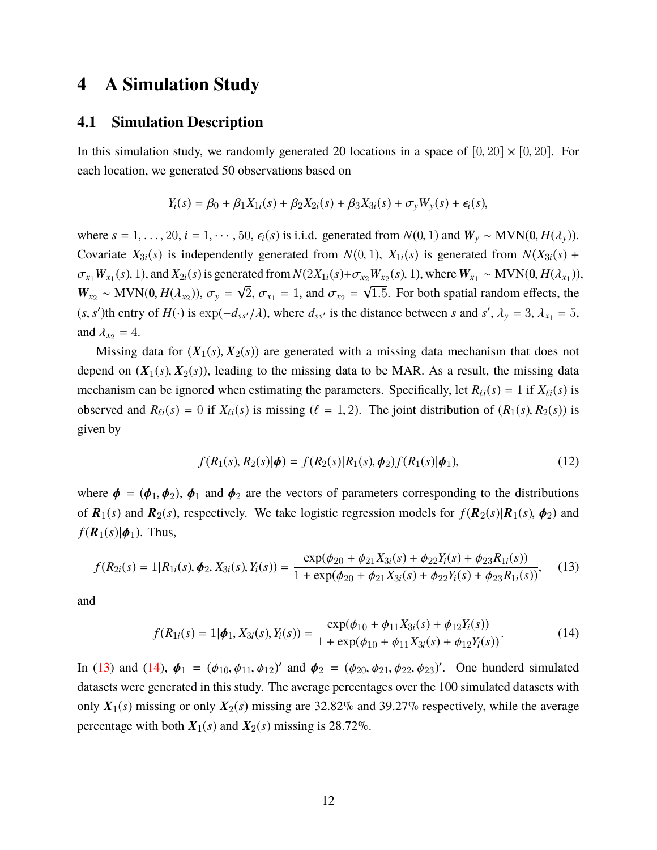### <span id="page-11-0"></span>**4 A Simulation Study**

#### **4.1 Simulation Description**

In this simulation study, we randomly generated 20 locations in a space of  $[0, 20] \times [0, 20]$ . For each location, we generated 50 observations based on

$$
Y_i(s) = \beta_0 + \beta_1 X_{1i}(s) + \beta_2 X_{2i}(s) + \beta_3 X_{3i}(s) + \sigma_y W_y(s) + \epsilon_i(s),
$$

where  $s = 1, \ldots, 20, i = 1, \ldots, 50, \epsilon_i(s)$  is i.i.d. generated from  $N(0, 1)$  and  $W_y \sim MVN(0, H(\lambda_y))$ . Covariate  $X_{3i}(s)$  is independently generated from  $N(0, 1)$ ,  $X_{1i}(s)$  is generated from  $N(X_{3i}(s) +$  $\sigma_{x_1} W_{x_1}(s)$ , 1), and  $X_{2i}(s)$  is generated from  $N(2X_{1i}(s) + \sigma_{x_2} W_{x_2}(s)$ , 1), where  $W_{x_1} \sim \text{MVN}(0, H(\lambda_{x_1}))$ ,  $W_{x_2} \sim \text{MVN}(0, H(\lambda_{x_2}))$ ,  $\sigma_y =$ √ 2,  $\sigma_{x_1} = 1$ , and  $\sigma_{x_2} =$ √ 1.5. For both spatial random effects, the  $(s, s')$ th entry of *H*(·) is  $\exp(-d_{ss'}/\lambda)$ , where  $d_{ss'}$  is the distance between *s* and *s'*,  $\lambda_y = 3$ ,  $\lambda_{x_1} = 5$ , and  $\lambda_{x_2} = 4$ .

Missing data for  $(X_1(s), X_2(s))$  are generated with a missing data mechanism that does not depend on  $(X_1(s), X_2(s))$ , leading to the missing data to be MAR. As a result, the missing data mechanism can be ignored when estimating the parameters. Specifically, let  $R_{\ell i}(s) = 1$  if  $X_{\ell i}(s)$  is observed and  $R_{\ell i}(s) = 0$  if  $X_{\ell i}(s)$  is missing ( $\ell = 1, 2$ ). The joint distribution of  $(R_1(s), R_2(s))$  is given by

<span id="page-11-2"></span><span id="page-11-1"></span>
$$
f(R_1(s), R_2(s)|\phi) = f(R_2(s)|R_1(s), \phi_2)f(R_1(s)|\phi_1),
$$
\n(12)

where  $\phi = (\phi_1, \phi_2)$ ,  $\phi_1$  and  $\phi_2$  are the vectors of parameters corresponding to the distributions of  $\mathbf{R}_1(s)$  and  $\mathbf{R}_2(s)$ , respectively. We take logistic regression models for  $f(\mathbf{R}_2(s)|\mathbf{R}_1(s), \phi_2)$  and  $f(\mathbf{R}_1(s)|\boldsymbol{\phi}_1)$ . Thus,

$$
f(R_{2i}(s) = 1 | R_{1i}(s), \phi_2, X_{3i}(s), Y_i(s)) = \frac{\exp(\phi_{20} + \phi_{21}X_{3i}(s) + \phi_{22}Y_i(s) + \phi_{23}R_{1i}(s))}{1 + \exp(\phi_{20} + \phi_{21}X_{3i}(s) + \phi_{22}Y_i(s) + \phi_{23}R_{1i}(s))},
$$
(13)

and

$$
f(R_{1i}(s) = 1 | \phi_1, X_{3i}(s), Y_i(s)) = \frac{\exp(\phi_{10} + \phi_{11}X_{3i}(s) + \phi_{12}Y_i(s))}{1 + \exp(\phi_{10} + \phi_{11}X_{3i}(s) + \phi_{12}Y_i(s))}.
$$
(14)

In [\(13\)](#page-11-1) and [\(14\)](#page-11-2),  $\phi_1 = (\phi_{10}, \phi_{11}, \phi_{12})'$  and  $\phi_2 = (\phi_{20}, \phi_{21}, \phi_{22}, \phi_{23})'$ . One hunderd simulated datasets were generated in this study. The average percentages over the 100 simulated datasets with only  $X_1(s)$  missing or only  $X_2(s)$  missing are 32.82% and 39.27% respectively, while the average percentage with both  $X_1(s)$  and  $X_2(s)$  missing is 28.72%.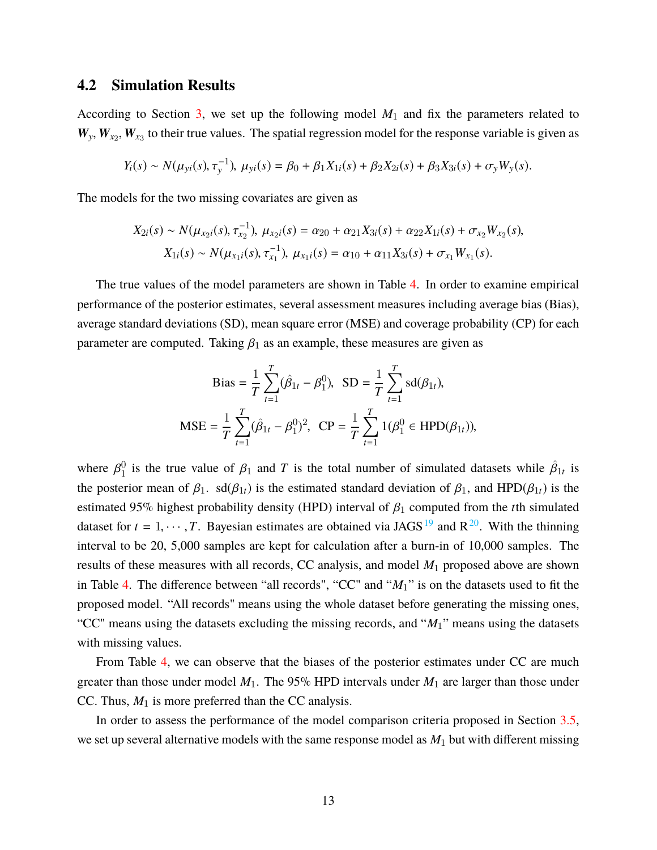#### **4.2 Simulation Results**

According to Section [3,](#page-4-0) we set up the following model *M*<sup>1</sup> and fix the parameters related to  $W_y, W_{x_2}, W_{x_3}$  to their true values. The spatial regression model for the response variable is given as

$$
Y_i(s) \sim N(\mu_{yi}(s), \tau_y^{-1}), \ \mu_{yi}(s) = \beta_0 + \beta_1 X_{1i}(s) + \beta_2 X_{2i}(s) + \beta_3 X_{3i}(s) + \sigma_y W_y(s).
$$

The models for the two missing covariates are given as

$$
X_{2i}(s) \sim N(\mu_{x_{2}i}(s), \tau_{x_{2}}^{-1}), \ \mu_{x_{2}i}(s) = \alpha_{20} + \alpha_{21}X_{3i}(s) + \alpha_{22}X_{1i}(s) + \sigma_{x_{2}}W_{x_{2}}(s),
$$

$$
X_{1i}(s) \sim N(\mu_{x_{1}i}(s), \tau_{x_{1}}^{-1}), \ \mu_{x_{1}i}(s) = \alpha_{10} + \alpha_{11}X_{3i}(s) + \sigma_{x_{1}}W_{x_{1}}(s).
$$

The true values of the model parameters are shown in Table [4.](#page-13-0) In order to examine empirical performance of the posterior estimates, several assessment measures including average bias (Bias), average standard deviations (SD), mean square error (MSE) and coverage probability (CP) for each parameter are computed. Taking  $\beta_1$  as an example, these measures are given as

$$
\text{Bias} = \frac{1}{T} \sum_{t=1}^{T} (\hat{\beta}_{1t} - \beta_1^0), \quad \text{SD} = \frac{1}{T} \sum_{t=1}^{T} \text{sd}(\beta_{1t}),
$$
\n
$$
\text{MSE} = \frac{1}{T} \sum_{t=1}^{T} (\hat{\beta}_{1t} - \beta_1^0)^2, \quad \text{CP} = \frac{1}{T} \sum_{t=1}^{T} 1(\beta_1^0 \in \text{HPD}(\beta_{1t})),
$$

where  $\beta_1^0$ <sup>0</sup> is the true value of  $\beta_1$  and *T* is the total number of simulated datasets while  $\hat{\beta}_{1t}$  is the posterior mean of  $\beta_1$ . sd( $\beta_{1t}$ ) is the estimated standard deviation of  $\beta_1$ , and HPD( $\beta_{1t}$ ) is the estimated 95% highest probability density (HPD) interval of  $\beta_1$  computed from the *t*th simulated dataset for  $t = 1, \dots, T$ . Bayesian estimates are obtained via JAGS<sup>[19](#page-24-4)</sup> and R<sup>[20](#page-24-5)</sup>. With the thinning interval to be 20, 5,000 samples are kept for calculation after a burn-in of 10,000 samples. The results of these measures with all records, CC analysis, and model *M*<sup>1</sup> proposed above are shown in Table [4.](#page-13-0) The difference between "all records", "CC" and "*M*1" is on the datasets used to fit the proposed model. "All records" means using the whole dataset before generating the missing ones, "CC" means using the datasets excluding the missing records, and "*M*1" means using the datasets with missing values.

From Table [4,](#page-13-0) we can observe that the biases of the posterior estimates under CC are much greater than those under model *M*1. The 95% HPD intervals under *M*<sup>1</sup> are larger than those under CC. Thus,  $M_1$  is more preferred than the CC analysis.

In order to assess the performance of the model comparison criteria proposed in Section [3.5,](#page-10-0) we set up several alternative models with the same response model as *M*<sup>1</sup> but with different missing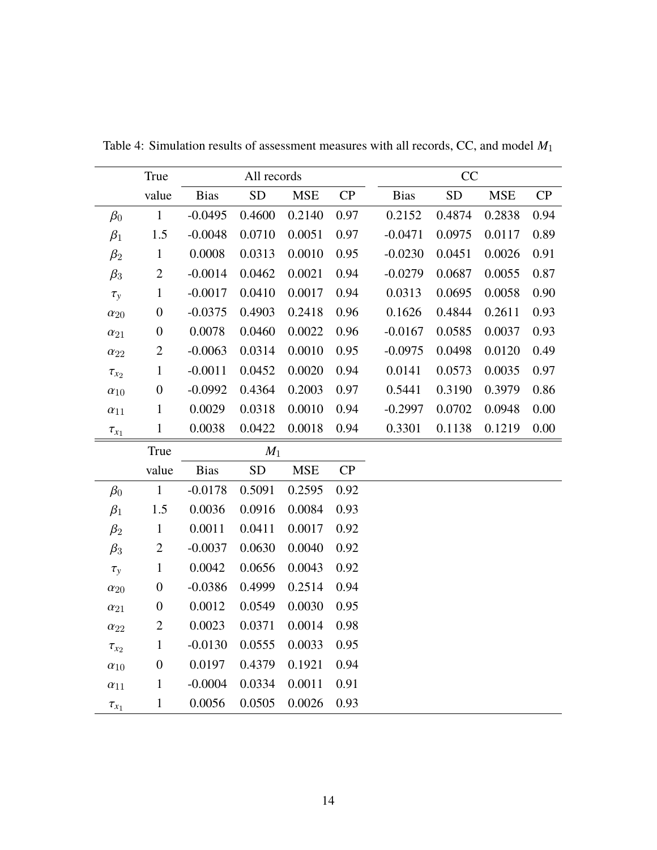|               | True             |             | All records |             |      | CC |             |           |            |      |
|---------------|------------------|-------------|-------------|-------------|------|----|-------------|-----------|------------|------|
|               | value            | <b>Bias</b> | ${\rm SD}$  | ${\bf MSE}$ | CP   |    | <b>Bias</b> | <b>SD</b> | <b>MSE</b> | CP   |
| $\beta_0$     | $\mathbf{1}$     | $-0.0495$   | 0.4600      | 0.2140      | 0.97 |    | 0.2152      | 0.4874    | 0.2838     | 0.94 |
| $\beta_1$     | 1.5              | $-0.0048$   | 0.0710      | 0.0051      | 0.97 |    | $-0.0471$   | 0.0975    | 0.0117     | 0.89 |
| $\beta_2$     | $\mathbf{1}$     | 0.0008      | 0.0313      | 0.0010      | 0.95 |    | $-0.0230$   | 0.0451    | 0.0026     | 0.91 |
| $\beta_3$     | $\mathbf{2}$     | $-0.0014$   | 0.0462      | 0.0021      | 0.94 |    | $-0.0279$   | 0.0687    | 0.0055     | 0.87 |
| $\tau_y$      | $\mathbf{1}$     | $-0.0017$   | 0.0410      | 0.0017      | 0.94 |    | 0.0313      | 0.0695    | 0.0058     | 0.90 |
| $\alpha_{20}$ | $\boldsymbol{0}$ | $-0.0375$   | 0.4903      | 0.2418      | 0.96 |    | 0.1626      | 0.4844    | 0.2611     | 0.93 |
| $\alpha_{21}$ | $\boldsymbol{0}$ | 0.0078      | 0.0460      | 0.0022      | 0.96 |    | $-0.0167$   | 0.0585    | 0.0037     | 0.93 |
| $\alpha_{22}$ | $\overline{c}$   | $-0.0063$   | 0.0314      | 0.0010      | 0.95 |    | $-0.0975$   | 0.0498    | 0.0120     | 0.49 |
| $\tau_{x_2}$  | $\mathbf{1}$     | $-0.0011$   | 0.0452      | 0.0020      | 0.94 |    | 0.0141      | 0.0573    | 0.0035     | 0.97 |
| $\alpha_{10}$ | $\boldsymbol{0}$ | $-0.0992$   | 0.4364      | 0.2003      | 0.97 |    | 0.5441      | 0.3190    | 0.3979     | 0.86 |
| $\alpha_{11}$ | $\,1$            | 0.0029      | 0.0318      | 0.0010      | 0.94 |    | $-0.2997$   | 0.0702    | 0.0948     | 0.00 |
| $\tau_{x_1}$  | $\mathbf{1}$     | 0.0038      | 0.0422      | 0.0018      | 0.94 |    | 0.3301      | 0.1138    | 0.1219     | 0.00 |
|               | True             | $M_1$       |             |             |      |    |             |           |            |      |
|               | value            | <b>Bias</b> | ${\rm SD}$  | <b>MSE</b>  | CP   |    |             |           |            |      |
| $\beta_0$     | $\mathbf{1}$     | $-0.0178$   | 0.5091      | 0.2595      | 0.92 |    |             |           |            |      |
| $\beta_1$     | 1.5              | 0.0036      | 0.0916      | 0.0084      | 0.93 |    |             |           |            |      |
| $\beta_2$     | $\,1$            | 0.0011      | 0.0411      | 0.0017      | 0.92 |    |             |           |            |      |
| $\beta_3$     | $\mathbf{2}$     | $-0.0037$   | 0.0630      | 0.0040      | 0.92 |    |             |           |            |      |
| $\tau_y$      | $\mathbf{1}$     | 0.0042      | 0.0656      | 0.0043      | 0.92 |    |             |           |            |      |
| $\alpha_{20}$ | $\boldsymbol{0}$ | $-0.0386$   | 0.4999      | 0.2514      | 0.94 |    |             |           |            |      |
| $\alpha_{21}$ | $\boldsymbol{0}$ | 0.0012      | 0.0549      | 0.0030      | 0.95 |    |             |           |            |      |
| $\alpha_{22}$ | $\mathbf{2}$     | 0.0023      | 0.0371      | 0.0014      | 0.98 |    |             |           |            |      |
| $\tau_{x_2}$  | $\mathbf{1}$     | $-0.0130$   | 0.0555      | 0.0033      | 0.95 |    |             |           |            |      |
| $\alpha_{10}$ | $\boldsymbol{0}$ | 0.0197      | 0.4379      | 0.1921      | 0.94 |    |             |           |            |      |
| $\alpha_{11}$ | $\,1$            | $-0.0004$   | 0.0334      | 0.0011      | 0.91 |    |             |           |            |      |
| $\tau_{x_1}$  | $\,1\,$          | 0.0056      | 0.0505      | 0.0026      | 0.93 |    |             |           |            |      |

<span id="page-13-0"></span>Table 4: Simulation results of assessment measures with all records, CC, and model *M*<sup>1</sup>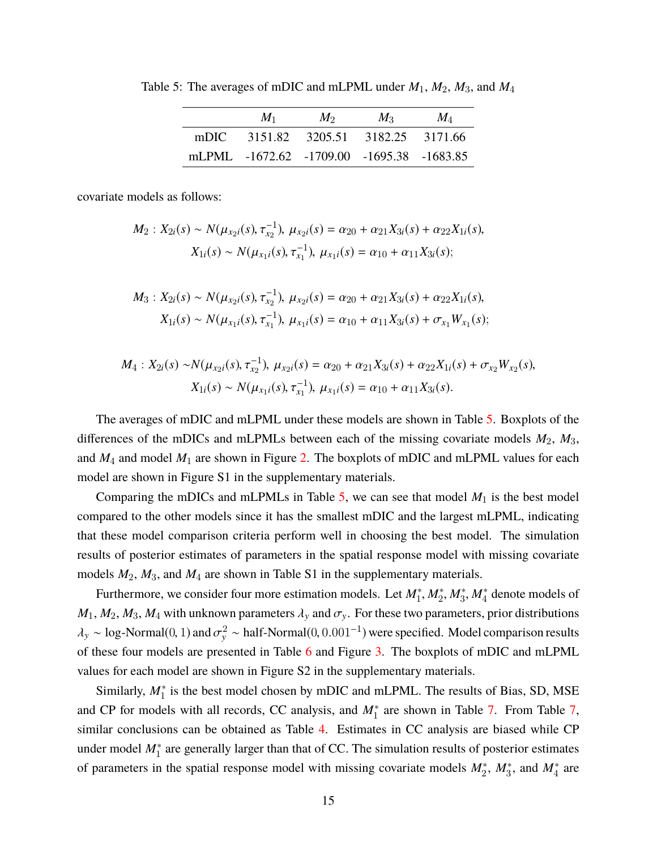<span id="page-14-0"></span>Table 5: The averages of mDIC and mLPML under *M*1, *M*2, *M*3, and *M*<sup>4</sup>

|      | $M_1$                                     | $M_2$                           | $M_{\rm{2}}$ | $M_A$ |
|------|-------------------------------------------|---------------------------------|--------------|-------|
| mDIC |                                           | 3151.82 3205.51 3182.25 3171.66 |              |       |
|      | mLPML -1672.62 -1709.00 -1695.38 -1683.85 |                                 |              |       |

covariate models as follows:

$$
M_2: X_{2i}(s) \sim N(\mu_{x_{2}i}(s), \tau_{x_{2}}^{-1}), \ \mu_{x_{2}i}(s) = \alpha_{20} + \alpha_{21}X_{3i}(s) + \alpha_{22}X_{1i}(s),
$$

$$
X_{1i}(s) \sim N(\mu_{x_{1}i}(s), \tau_{x_{1}}^{-1}), \ \mu_{x_{1}i}(s) = \alpha_{10} + \alpha_{11}X_{3i}(s);
$$

$$
M_3: X_{2i}(s) \sim N(\mu_{x_{2}i}(s), \tau_{x_{2}}^{-1}), \ \mu_{x_{2}i}(s) = \alpha_{20} + \alpha_{21}X_{3i}(s) + \alpha_{22}X_{1i}(s),
$$

$$
X_{1i}(s) \sim N(\mu_{x_{1}i}(s), \tau_{x_{1}}^{-1}), \ \mu_{x_{1}i}(s) = \alpha_{10} + \alpha_{11}X_{3i}(s) + \sigma_{x_{1}}W_{x_{1}}(s);
$$

$$
M_4: X_{2i}(s) \sim N(\mu_{x_{2}i}(s), \tau_{x_{2}}^{-1}), \ \mu_{x_{2}i}(s) = \alpha_{20} + \alpha_{21}X_{3i}(s) + \alpha_{22}X_{1i}(s) + \sigma_{x_{2}}W_{x_{2}}(s),
$$

$$
X_{1i}(s) \sim N(\mu_{x_{1}i}(s), \tau_{x_{1}}^{-1}), \ \mu_{x_{1}i}(s) = \alpha_{10} + \alpha_{11}X_{3i}(s).
$$

The averages of mDIC and mLPML under these models are shown in Table [5.](#page-14-0) Boxplots of the differences of the mDICs and mLPMLs between each of the missing covariate models *M*2, *M*3, and *M*<sup>4</sup> and model *M*<sup>1</sup> are shown in Figure [2.](#page-15-0) The boxplots of mDIC and mLPML values for each model are shown in Figure S1 in the supplementary materials.

Comparing the mDICs and mLPMLs in Table  $5$ , we can see that model  $M_1$  is the best model compared to the other models since it has the smallest mDIC and the largest mLPML, indicating that these model comparison criteria perform well in choosing the best model. The simulation results of posterior estimates of parameters in the spatial response model with missing covariate models *M*2, *M*3, and *M*<sup>4</sup> are shown in Table S1 in the supplementary materials.

Furthermore, we consider four more estimation models. Let  $M_1^*, M_2^*, M_3^*, M_4^*$  denote models of  $M_1, M_2, M_3, M_4$  with unknown parameters  $\lambda_y$  and  $\sigma_y$ . For these two parameters, prior distributions  $\lambda_y \sim \log\text{-Normal}(0, 1)$  and  $\sigma_y^2 \sim \text{half-Normal}(0, 0.001^{-1})$  were specified. Model comparison results of these four models are presented in Table [6](#page-15-1) and Figure [3.](#page-15-2) The boxplots of mDIC and mLPML values for each model are shown in Figure S2 in the supplementary materials.

Similarly,  $M_1^*$  is the best model chosen by mDIC and mLPML. The results of Bias, SD, MSE and CP for models with all records, CC analysis, and  $M_1^*$  are shown in Table [7.](#page-16-0) From Table [7,](#page-16-0) similar conclusions can be obtained as Table [4.](#page-13-0) Estimates in CC analysis are biased while CP under model  $M_1^*$  are generally larger than that of CC. The simulation results of posterior estimates of parameters in the spatial response model with missing covariate models  $M_2^*$ ,  $M_3^*$ , and  $M_4^*$  are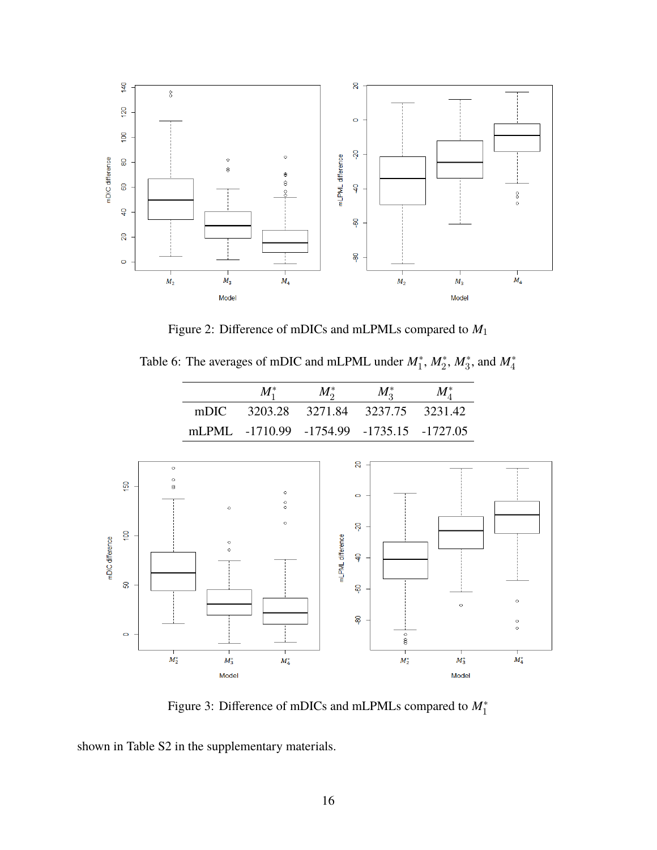<span id="page-15-0"></span>

Figure 2: Difference of mDICs and mLPMLs compared to *M*<sup>1</sup>

<span id="page-15-1"></span>Table 6: The averages of mDIC and mLPML under  $M_1^*$ ,  $M_2^*$ ,  $M_3^*$ , and  $M_4^*$ 

|      | $M_1^*$                                   | $M_{\rm o}^*$                   | $M_{\circ}^*$ | $M_{\scriptscriptstyle A}^*$ |
|------|-------------------------------------------|---------------------------------|---------------|------------------------------|
| mDIC |                                           | 3203.28 3271.84 3237.75 3231.42 |               |                              |
|      | mLPML -1710.99 -1754.99 -1735.15 -1727.05 |                                 |               |                              |

<span id="page-15-2"></span>

Figure 3: Difference of mDICs and mLPMLs compared to *M*<sup>∗</sup> 1

shown in Table S2 in the supplementary materials.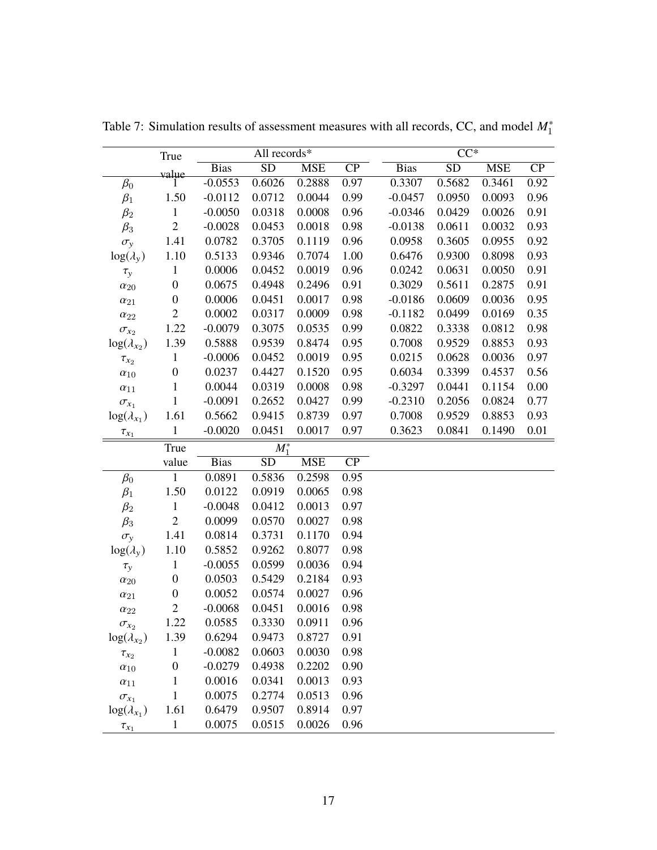|                      | True             |             | All records*    |            |                 |             | $CC^*$          |            |      |
|----------------------|------------------|-------------|-----------------|------------|-----------------|-------------|-----------------|------------|------|
|                      | value            | <b>Bias</b> | $\overline{SD}$ | <b>MSE</b> | $\overline{CP}$ | <b>Bias</b> | $\overline{SD}$ | <b>MSE</b> | CP   |
| $\beta_0$            |                  | $-0.0553$   | 0.6026          | 0.2888     | 0.97            | 0.3307      | 0.5682          | 0.3461     | 0.92 |
| $\beta_1$            | 1.50             | $-0.0112$   | 0.0712          | 0.0044     | 0.99            | $-0.0457$   | 0.0950          | 0.0093     | 0.96 |
| $\beta_2$            | $\mathbf{1}$     | $-0.0050$   | 0.0318          | 0.0008     | 0.96            | $-0.0346$   | 0.0429          | 0.0026     | 0.91 |
| $\beta_3$            | $\sqrt{2}$       | $-0.0028$   | 0.0453          | 0.0018     | 0.98            | $-0.0138$   | 0.0611          | 0.0032     | 0.93 |
| $\sigma_y$           | 1.41             | 0.0782      | 0.3705          | 0.1119     | 0.96            | 0.0958      | 0.3605          | 0.0955     | 0.92 |
| $log(\lambda_{y})$   | 1.10             | 0.5133      | 0.9346          | 0.7074     | 1.00            | 0.6476      | 0.9300          | 0.8098     | 0.93 |
| $\tau_y$             | $\,1$            | 0.0006      | 0.0452          | 0.0019     | 0.96            | 0.0242      | 0.0631          | 0.0050     | 0.91 |
| $\alpha_{20}$        | $\boldsymbol{0}$ | 0.0675      | 0.4948          | 0.2496     | 0.91            | 0.3029      | 0.5611          | 0.2875     | 0.91 |
| $\alpha_{21}$        | $\boldsymbol{0}$ | 0.0006      | 0.0451          | 0.0017     | 0.98            | $-0.0186$   | 0.0609          | 0.0036     | 0.95 |
| $\alpha_{22}$        | $\sqrt{2}$       | 0.0002      | 0.0317          | 0.0009     | 0.98            | $-0.1182$   | 0.0499          | 0.0169     | 0.35 |
| $\sigma_{x_2}$       | 1.22             | $-0.0079$   | 0.3075          | 0.0535     | 0.99            | 0.0822      | 0.3338          | 0.0812     | 0.98 |
| $log(\lambda_{x_2})$ | 1.39             | 0.5888      | 0.9539          | 0.8474     | 0.95            | 0.7008      | 0.9529          | 0.8853     | 0.93 |
| $\tau_{x_2}$         | $\,1$            | $-0.0006$   | 0.0452          | 0.0019     | 0.95            | 0.0215      | 0.0628          | 0.0036     | 0.97 |
| $\alpha_{10}$        | $\boldsymbol{0}$ | 0.0237      | 0.4427          | 0.1520     | 0.95            | 0.6034      | 0.3399          | 0.4537     | 0.56 |
| $\alpha_{11}$        | $\,1$            | 0.0044      | 0.0319          | 0.0008     | 0.98            | $-0.3297$   | 0.0441          | 0.1154     | 0.00 |
| $\sigma_{x_1}$       | $\mathbf{1}$     | $-0.0091$   | 0.2652          | 0.0427     | 0.99            | $-0.2310$   | 0.2056          | 0.0824     | 0.77 |
| $log(\lambda_{x_1})$ | 1.61             | 0.5662      | 0.9415          | 0.8739     | 0.97            | 0.7008      | 0.9529          | 0.8853     | 0.93 |
| $\tau_{x_1}$         | $\mathbf{1}$     | $-0.0020$   | 0.0451          | 0.0017     | 0.97            | 0.3623      | 0.0841          | 0.1490     | 0.01 |
|                      | True             |             | $M_1^*$         |            |                 |             |                 |            |      |
|                      | value            | <b>Bias</b> | SD              | <b>MSE</b> | CP              |             |                 |            |      |
| $\beta_0$            | $\mathbf{1}$     | 0.0891      | 0.5836          | 0.2598     | 0.95            |             |                 |            |      |
| $\beta_1$            | 1.50             | 0.0122      | 0.0919          | 0.0065     | 0.98            |             |                 |            |      |
| $\beta_2$            | $\,1$            | $-0.0048$   | 0.0412          | 0.0013     | 0.97            |             |                 |            |      |
| $\beta_3$            | $\sqrt{2}$       | 0.0099      | 0.0570          | 0.0027     | 0.98            |             |                 |            |      |
| $\sigma_{\rm v}$     | 1.41             | 0.0814      | 0.3731          | 0.1170     | 0.94            |             |                 |            |      |
| $log(\lambda_{y})$   | 1.10             | 0.5852      | 0.9262          | 0.8077     | 0.98            |             |                 |            |      |
| $\tau_y$             | $\,1$            | $-0.0055$   | 0.0599          | 0.0036     | 0.94            |             |                 |            |      |
| $\alpha_{20}$        | $\boldsymbol{0}$ | 0.0503      | 0.5429          | 0.2184     | 0.93            |             |                 |            |      |
| $\alpha_{21}$        | $\boldsymbol{0}$ | 0.0052      | 0.0574          | 0.0027     | 0.96            |             |                 |            |      |
| $\alpha_{22}$        | $\sqrt{2}$       | $-0.0068$   | 0.0451          | 0.0016     | 0.98            |             |                 |            |      |
| $\sigma_{x_2}$       | 1.22             | 0.0585      | 0.3330          | 0.0911     | 0.96            |             |                 |            |      |
| $log(\lambda_{x_2})$ | 1.39             | 0.6294      | 0.9473          | 0.8727     | 0.91            |             |                 |            |      |
| $\tau_{x_2}$         | $\mathbf{1}$     | $-0.0082$   | 0.0603          | 0.0030     | 0.98            |             |                 |            |      |
| $\alpha_{10}$        | $\boldsymbol{0}$ | $-0.0279$   | 0.4938          | 0.2202     | 0.90            |             |                 |            |      |
| $\alpha_{11}$        | $\mathbf{1}$     | 0.0016      | 0.0341          | 0.0013     | 0.93            |             |                 |            |      |
| $\sigma_{x_1}$       | $\mathbf{1}$     | 0.0075      | 0.2774          | 0.0513     | 0.96            |             |                 |            |      |
| $log(\lambda_{x_1})$ | 1.61             | 0.6479      | 0.9507          | 0.8914     | 0.97            |             |                 |            |      |
| $\tau_{x_1}$         | $\mathbf{1}$     | 0.0075      | 0.0515          | 0.0026     | 0.96            |             |                 |            |      |

<span id="page-16-0"></span>Table 7: Simulation results of assessment measures with all records, CC, and model *M*<sup>∗</sup> 1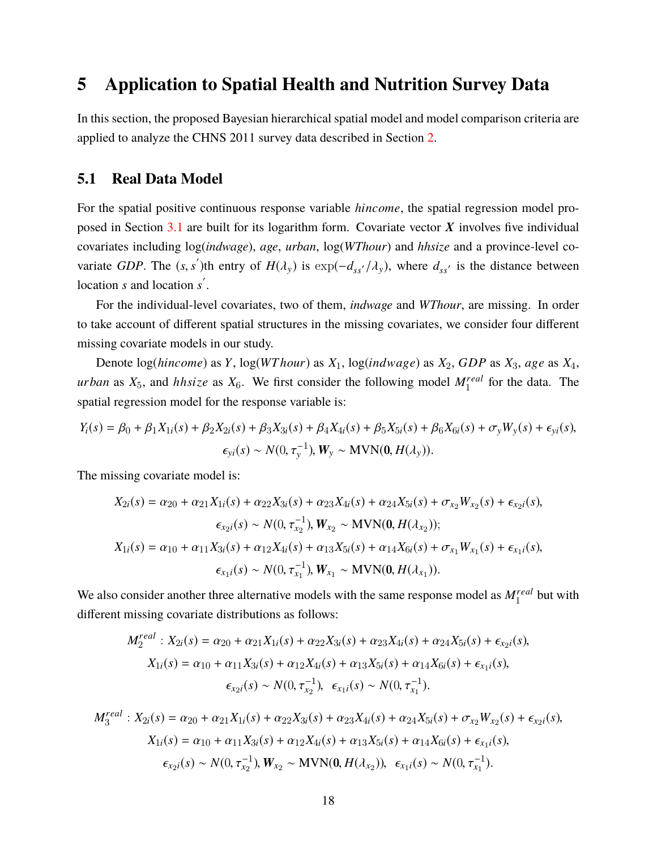### <span id="page-17-0"></span>**5 Application to Spatial Health and Nutrition Survey Data**

In this section, the proposed Bayesian hierarchical spatial model and model comparison criteria are applied to analyze the CHNS 2011 survey data described in Section [2.](#page-2-0)

#### **5.1 Real Data Model**

For the spatial positive continuous response variable *hincome*, the spatial regression model pro-posed in Section [3.1](#page-5-2) are built for its logarithm form. Covariate vector  $X$  involves five individual covariates including log(*indwage*), *age*, *urban*, log(*WThour*) and *hhsize* and a province-level covariate *GDP*. The  $(s, s')$ th entry of  $H(\lambda_y)$  is  $\exp(-d_{ss'}/\lambda_y)$ , where  $d_{ss'}$  is the distance between location *s* and location *s'*.

For the individual-level covariates, two of them, *indwage* and *WThour*, are missing. In order to take account of different spatial structures in the missing covariates, we consider four different missing covariate models in our study.

Denote log(*hincome*) as *Y*, log(*WT hour*) as *X*1, log(*ind*w*a*g*e*) as *X*2, *GDP* as *X*3, *a*g*e* as *X*4, *urban* as  $X_5$ , and *hhsize* as  $X_6$ . We first consider the following model  $M_1^{real}$  for the data. The spatial regression model for the response variable is:

$$
Y_i(s) = \beta_0 + \beta_1 X_{1i}(s) + \beta_2 X_{2i}(s) + \beta_3 X_{3i}(s) + \beta_4 X_{4i}(s) + \beta_5 X_{5i}(s) + \beta_6 X_{6i}(s) + \sigma_y W_y(s) + \epsilon_{yi}(s),
$$
  

$$
\epsilon_{yi}(s) \sim N(0, \tau_y^{-1}), W_y \sim \text{MVN}(0, H(\lambda_y)).
$$

The missing covariate model is:

$$
X_{2i}(s) = \alpha_{20} + \alpha_{21}X_{1i}(s) + \alpha_{22}X_{3i}(s) + \alpha_{23}X_{4i}(s) + \alpha_{24}X_{5i}(s) + \sigma_{x_2}W_{x_2}(s) + \epsilon_{x_2i}(s),
$$
  
\n
$$
\epsilon_{x_2i}(s) \sim N(0, \tau_{x_2}^{-1}), W_{x_2} \sim \text{MVN}(0, H(\lambda_{x_2}));
$$
  
\n
$$
X_{1i}(s) = \alpha_{10} + \alpha_{11}X_{3i}(s) + \alpha_{12}X_{4i}(s) + \alpha_{13}X_{5i}(s) + \alpha_{14}X_{6i}(s) + \sigma_{x_1}W_{x_1}(s) + \epsilon_{x_1i}(s),
$$
  
\n
$$
\epsilon_{x_1i}(s) \sim N(0, \tau_{x_1}^{-1}), W_{x_1} \sim \text{MVN}(0, H(\lambda_{x_1})).
$$

We also consider another three alternative models with the same response model as  $M_1^{real}$  but with different missing covariate distributions as follows:

$$
M_2^{real}: X_{2i}(s) = \alpha_{20} + \alpha_{21}X_{1i}(s) + \alpha_{22}X_{3i}(s) + \alpha_{23}X_{4i}(s) + \alpha_{24}X_{5i}(s) + \epsilon_{x_{2}i}(s),
$$
  
\n
$$
X_{1i}(s) = \alpha_{10} + \alpha_{11}X_{3i}(s) + \alpha_{12}X_{4i}(s) + \alpha_{13}X_{5i}(s) + \alpha_{14}X_{6i}(s) + \epsilon_{x_{1}i}(s),
$$
  
\n
$$
\epsilon_{x_{2}i}(s) \sim N(0, \tau_{x_2}^{-1}), \ \epsilon_{x_1i}(s) \sim N(0, \tau_{x_1}^{-1}).
$$

$$
M_3^{real}: X_{2i}(s) = \alpha_{20} + \alpha_{21}X_{1i}(s) + \alpha_{22}X_{3i}(s) + \alpha_{23}X_{4i}(s) + \alpha_{24}X_{5i}(s) + \sigma_{x_2}W_{x_2}(s) + \epsilon_{x_2i}(s),
$$
  
\n
$$
X_{1i}(s) = \alpha_{10} + \alpha_{11}X_{3i}(s) + \alpha_{12}X_{4i}(s) + \alpha_{13}X_{5i}(s) + \alpha_{14}X_{6i}(s) + \epsilon_{x_1i}(s),
$$
  
\n
$$
\epsilon_{x_2i}(s) \sim N(0, \tau_{x_2}^{-1}), W_{x_2} \sim \text{MVN}(0, H(\lambda_{x_2})), \ \epsilon_{x_1i}(s) \sim N(0, \tau_{x_1}^{-1}).
$$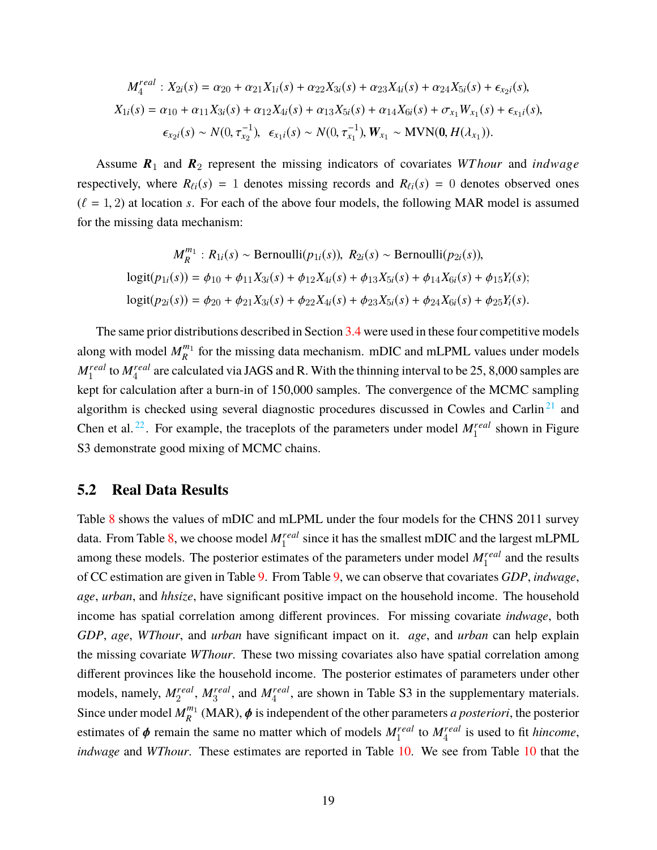$$
M_4^{real}: X_{2i}(s) = \alpha_{20} + \alpha_{21}X_{1i}(s) + \alpha_{22}X_{3i}(s) + \alpha_{23}X_{4i}(s) + \alpha_{24}X_{5i}(s) + \epsilon_{x_{2}i}(s),
$$
  
\n
$$
X_{1i}(s) = \alpha_{10} + \alpha_{11}X_{3i}(s) + \alpha_{12}X_{4i}(s) + \alpha_{13}X_{5i}(s) + \alpha_{14}X_{6i}(s) + \sigma_{x_1}W_{x_1}(s) + \epsilon_{x_1i}(s),
$$
  
\n
$$
\epsilon_{x_{2}i}(s) \sim N(0, \tau_{x_2}^{-1}), \ \epsilon_{x_1i}(s) \sim N(0, \tau_{x_1}^{-1}), W_{x_1} \sim \text{MVN}(0, H(\lambda_{x_1})).
$$

Assume  $R_1$  and  $R_2$  represent the missing indicators of covariates *WT hour* and *indwage* respectively, where  $R_{\ell i}(s) = 1$  denotes missing records and  $R_{\ell i}(s) = 0$  denotes observed ones  $(\ell = 1, 2)$  at location *s*. For each of the above four models, the following MAR model is assumed for the missing data mechanism:

$$
M_R^{m_1}: R_{1i}(s) \sim \text{Bernoulli}(p_{1i}(s)), R_{2i}(s) \sim \text{Bernoulli}(p_{2i}(s)),
$$
  
\n
$$
\text{logit}(p_{1i}(s)) = \phi_{10} + \phi_{11} X_{3i}(s) + \phi_{12} X_{4i}(s) + \phi_{13} X_{5i}(s) + \phi_{14} X_{6i}(s) + \phi_{15} Y_i(s);
$$
  
\n
$$
\text{logit}(p_{2i}(s)) = \phi_{20} + \phi_{21} X_{3i}(s) + \phi_{22} X_{4i}(s) + \phi_{23} X_{5i}(s) + \phi_{24} X_{6i}(s) + \phi_{25} Y_i(s).
$$

The same prior distributions described in Section [3.4](#page-8-1) were used in these four competitive models along with model  $M_R^{m_1}$  $\frac{m_1}{R}$  for the missing data mechanism. mDIC and mLPML values under models  $M_1^{real}$  to  $M_4^{real}$  are calculated via JAGS and R. With the thinning interval to be 25, 8,000 samples are kept for calculation after a burn-in of 150,000 samples. The convergence of the MCMC sampling algorithm is checked using several diagnostic procedures discussed in Cowles and Carlin<sup>[21](#page-24-6)</sup> and Chen et al.<sup>[22](#page-24-7)</sup>. For example, the traceplots of the parameters under model  $M_1^{real}$  shown in Figure S3 demonstrate good mixing of MCMC chains.

#### **5.2 Real Data Results**

Table [8](#page-19-0) shows the values of mDIC and mLPML under the four models for the CHNS 2011 survey data. From Table [8,](#page-19-0) we choose model *Mreal* 1 since it has the smallest mDIC and the largest mLPML among these models. The posterior estimates of the parameters under model  $M_1^{real}$  and the results of CC estimation are given in Table [9.](#page-19-1) From Table [9,](#page-19-1) we can observe that covariates *GDP*, *indwage*, *age*, *urban*, and *hhsize*, have significant positive impact on the household income. The household income has spatial correlation among different provinces. For missing covariate *indwage*, both *GDP*, *age*, *WThour*, and *urban* have significant impact on it. *age*, and *urban* can help explain the missing covariate *WThour*. These two missing covariates also have spatial correlation among different provinces like the household income. The posterior estimates of parameters under other models, namely,  $M_2^{real}$ ,  $M_3^{real}$ , and  $M_4^{real}$ , are shown in Table S3 in the supplementary materials. Since under model  $M_{R}^{m_1}$  $R_R^{m_1}$  (MAR),  $\phi$  is independent of the other parameters *a posteriori*, the posterior estimates of  $\phi$  remain the same no matter which of models  $M_1^{real}$  to  $M_4^{real}$  is used to fit *hincome*, *indwage* and *WThour*. These estimates are reported in Table [10.](#page-20-0) We see from Table [10](#page-20-0) that the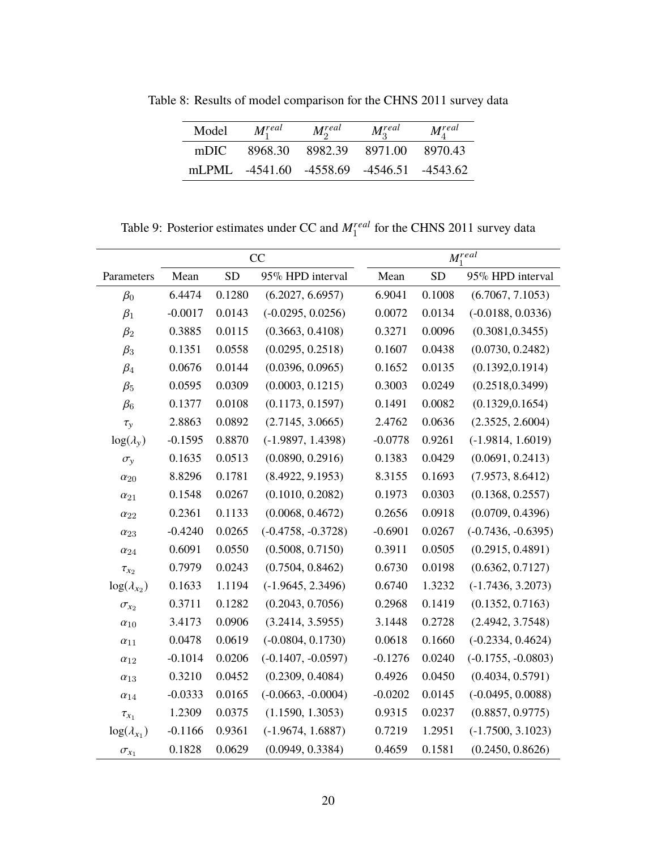<span id="page-19-0"></span>Table 8: Results of model comparison for the CHNS 2011 survey data

| Model | $M_1^{real}$                              | $M_2^{real}$    | $M_3^{real}$ | $M^{real}_A$ |
|-------|-------------------------------------------|-----------------|--------------|--------------|
| mDIC  | 8968.30                                   | 8982.39 8971.00 |              | 8970.43      |
|       | mLPML -4541.60 -4558.69 -4546.51 -4543.62 |                 |              |              |

Table 9: Posterior estimates under CC and  $M_1^{real}$  for the CHNS 2011 survey data

<span id="page-19-1"></span>

|                      | CC        |           |                      |           |           | $M_1^{real}$         |
|----------------------|-----------|-----------|----------------------|-----------|-----------|----------------------|
| Parameters           | Mean      | <b>SD</b> | 95% HPD interval     | Mean      | <b>SD</b> | 95% HPD interval     |
| $\beta_0$            | 6.4474    | 0.1280    | (6.2027, 6.6957)     | 6.9041    | 0.1008    | (6.7067, 7.1053)     |
| $\beta_1$            | $-0.0017$ | 0.0143    | $(-0.0295, 0.0256)$  | 0.0072    | 0.0134    | $(-0.0188, 0.0336)$  |
| $\beta_2$            | 0.3885    | 0.0115    | (0.3663, 0.4108)     | 0.3271    | 0.0096    | (0.3081, 0.3455)     |
| $\beta_3$            | 0.1351    | 0.0558    | (0.0295, 0.2518)     | 0.1607    | 0.0438    | (0.0730, 0.2482)     |
| $\beta_4$            | 0.0676    | 0.0144    | (0.0396, 0.0965)     | 0.1652    | 0.0135    | (0.1392, 0.1914)     |
| $\beta_5$            | 0.0595    | 0.0309    | (0.0003, 0.1215)     | 0.3003    | 0.0249    | (0.2518, 0.3499)     |
| $\beta_6$            | 0.1377    | 0.0108    | (0.1173, 0.1597)     | 0.1491    | 0.0082    | (0.1329, 0.1654)     |
| $\tau_{y}$           | 2.8863    | 0.0892    | (2.7145, 3.0665)     | 2.4762    | 0.0636    | (2.3525, 2.6004)     |
| $log(\lambda_v)$     | $-0.1595$ | 0.8870    | $(-1.9897, 1.4398)$  | $-0.0778$ | 0.9261    | $(-1.9814, 1.6019)$  |
| $\sigma_{v}$         | 0.1635    | 0.0513    | (0.0890, 0.2916)     | 0.1383    | 0.0429    | (0.0691, 0.2413)     |
| $\alpha_{20}$        | 8.8296    | 0.1781    | (8.4922, 9.1953)     | 8.3155    | 0.1693    | (7.9573, 8.6412)     |
| $\alpha_{21}$        | 0.1548    | 0.0267    | (0.1010, 0.2082)     | 0.1973    | 0.0303    | (0.1368, 0.2557)     |
| $\alpha_{22}$        | 0.2361    | 0.1133    | (0.0068, 0.4672)     | 0.2656    | 0.0918    | (0.0709, 0.4396)     |
| $\alpha_{23}$        | $-0.4240$ | 0.0265    | $(-0.4758, -0.3728)$ | $-0.6901$ | 0.0267    | $(-0.7436, -0.6395)$ |
| $\alpha_{24}$        | 0.6091    | 0.0550    | (0.5008, 0.7150)     | 0.3911    | 0.0505    | (0.2915, 0.4891)     |
| $\tau_{x_2}$         | 0.7979    | 0.0243    | (0.7504, 0.8462)     | 0.6730    | 0.0198    | (0.6362, 0.7127)     |
| $log(\lambda_{x_2})$ | 0.1633    | 1.1194    | $(-1.9645, 2.3496)$  | 0.6740    | 1.3232    | $(-1.7436, 3.2073)$  |
| $\sigma_{x_2}$       | 0.3711    | 0.1282    | (0.2043, 0.7056)     | 0.2968    | 0.1419    | (0.1352, 0.7163)     |
| $\alpha_{10}$        | 3.4173    | 0.0906    | (3.2414, 3.5955)     | 3.1448    | 0.2728    | (2.4942, 3.7548)     |
| $\alpha_{11}$        | 0.0478    | 0.0619    | $(-0.0804, 0.1730)$  | 0.0618    | 0.1660    | $(-0.2334, 0.4624)$  |
| $\alpha_{12}$        | $-0.1014$ | 0.0206    | $(-0.1407, -0.0597)$ | $-0.1276$ | 0.0240    | $(-0.1755, -0.0803)$ |
| $\alpha_{13}$        | 0.3210    | 0.0452    | (0.2309, 0.4084)     | 0.4926    | 0.0450    | (0.4034, 0.5791)     |
| $\alpha_{14}$        | $-0.0333$ | 0.0165    | $(-0.0663, -0.0004)$ | $-0.0202$ | 0.0145    | $(-0.0495, 0.0088)$  |
| $\tau_{x_1}$         | 1.2309    | 0.0375    | (1.1590, 1.3053)     | 0.9315    | 0.0237    | (0.8857, 0.9775)     |
| $log(\lambda_{x_1})$ | $-0.1166$ | 0.9361    | $(-1.9674, 1.6887)$  | 0.7219    | 1.2951    | $(-1.7500, 3.1023)$  |
| $\sigma_{x_1}$       | 0.1828    | 0.0629    | (0.0949, 0.3384)     | 0.4659    | 0.1581    | (0.2450, 0.8626)     |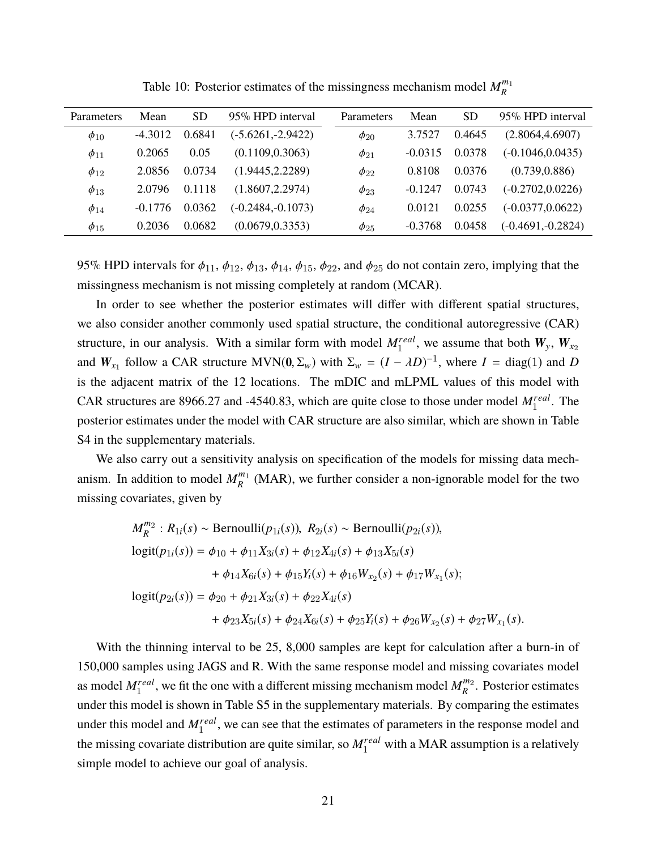<span id="page-20-0"></span>

| Parameters     | Mean      | SD     | 95% HPD interval    | Parameters  | Mean      | <b>SD</b> | 95% HPD interval    |
|----------------|-----------|--------|---------------------|-------------|-----------|-----------|---------------------|
| $\phi_{10}$    | -4.3012   | 0.6841 | $(-5.6261,-2.9422)$ | $\phi_{20}$ | 3.7527    | 0.4645    | (2.8064, 4.6907)    |
| $\phi_{11}$    | 0.2065    | 0.05   | (0.1109, 0.3063)    | $\phi_{21}$ | $-0.0315$ | 0.0378    | $(-0.1046, 0.0435)$ |
| $\phi_{12}$    | 2.0856    | 0.0734 | (1.9445, 2.2289)    | $\phi_{22}$ | 0.8108    | 0.0376    | (0.739, 0.886)      |
| $\phi_{13}$    | 2.0796    | 0.1118 | (1.8607.2.2974)     | $\phi_{23}$ | $-0.1247$ | 0.0743    | $(-0.2702, 0.0226)$ |
| $\phi_{14}$    | $-0.1776$ | 0.0362 | (-0.2484, -0.1073)  | $\phi_{24}$ | 0.0121    | 0.0255    | $(-0.0377, 0.0622)$ |
| $\varphi_{15}$ | 0.2036    | 0.0682 | (0.0679, 0.3353)    | $\phi_{25}$ | $-0.3768$ | 0.0458    | $(-0.4691,-0.2824)$ |
|                |           |        |                     |             |           |           |                     |

Table 10: Posterior estimates of the missingness mechanism model  $M_R^{m_1}$ *R*

95% HPD intervals for  $\phi_{11}$ ,  $\phi_{12}$ ,  $\phi_{13}$ ,  $\phi_{14}$ ,  $\phi_{15}$ ,  $\phi_{22}$ , and  $\phi_{25}$  do not contain zero, implying that the missingness mechanism is not missing completely at random (MCAR).

In order to see whether the posterior estimates will differ with different spatial structures, we also consider another commonly used spatial structure, the conditional autoregressive (CAR) structure, in our analysis. With a similar form with model  $M_1^{real}$ , we assume that both  $W_y$ ,  $W_{x_2}$ and  $W_{x_1}$  follow a CAR structure MVN( $0, \Sigma_w$ ) with  $\Sigma_w = (I - \lambda D)^{-1}$ , where  $I = \text{diag}(1)$  and *D* is the adjacent matrix of the 12 locations. The mDIC and mLPML values of this model with CAR structures are 8966.27 and -4540.83, which are quite close to those under model  $M_1^{real}$ . The posterior estimates under the model with CAR structure are also similar, which are shown in Table S4 in the supplementary materials.

We also carry out a sensitivity analysis on specification of the models for missing data mechanism. In addition to model  $M_R^{m_1}$  $R_R^{m_1}$  (MAR), we further consider a non-ignorable model for the two missing covariates, given by

$$
M_R^{m_2}: R_{1i}(s) \sim \text{Bernoulli}(p_{1i}(s)), R_{2i}(s) \sim \text{Bernoulli}(p_{2i}(s)),
$$
  
\n
$$
\text{logit}(p_{1i}(s)) = \phi_{10} + \phi_{11}X_{3i}(s) + \phi_{12}X_{4i}(s) + \phi_{13}X_{5i}(s)
$$
  
\n
$$
+ \phi_{14}X_{6i}(s) + \phi_{15}Y_i(s) + \phi_{16}W_{x_2}(s) + \phi_{17}W_{x_1}(s);
$$
  
\n
$$
\text{logit}(p_{2i}(s)) = \phi_{20} + \phi_{21}X_{3i}(s) + \phi_{22}X_{4i}(s)
$$
  
\n
$$
+ \phi_{23}X_{5i}(s) + \phi_{24}X_{6i}(s) + \phi_{25}Y_i(s) + \phi_{26}W_{x_2}(s) + \phi_{27}W_{x_1}(s).
$$

With the thinning interval to be 25, 8,000 samples are kept for calculation after a burn-in of 150,000 samples using JAGS and R. With the same response model and missing covariates model as model  $M_1^{real}$ , we fit the one with a different missing mechanism model  $M_R^{m_2}$  $\frac{m_2}{R}$ . Posterior estimates under this model is shown in Table S5 in the supplementary materials. By comparing the estimates under this model and  $M_1^{real}$ , we can see that the estimates of parameters in the response model and the missing covariate distribution are quite similar, so  $M_1^{real}$  with a MAR assumption is a relatively simple model to achieve our goal of analysis.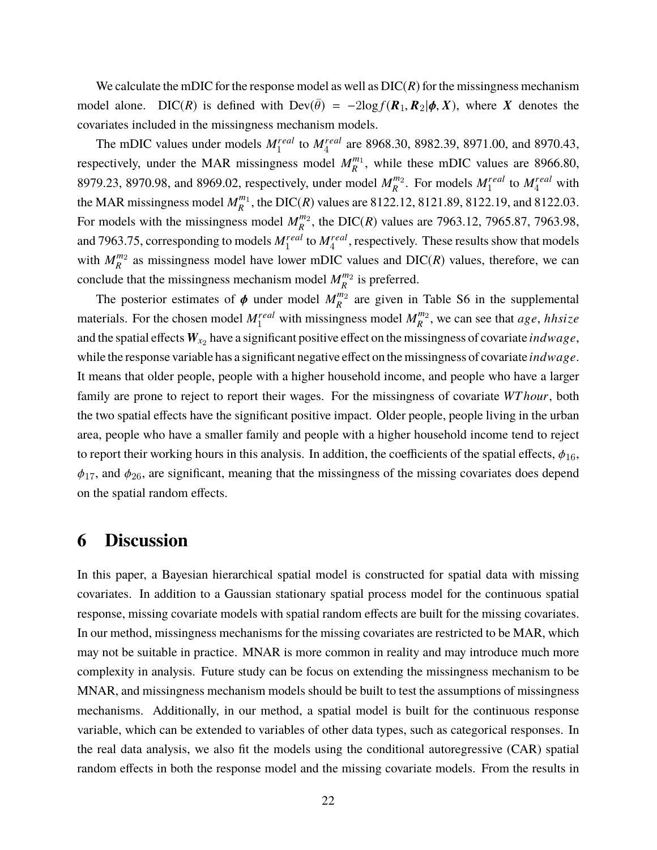We calculate the mDIC for the response model as well as  $DIC(R)$  for the missingness mechanism model alone. DIC(R) is defined with  $\text{Dev}(\bar{\theta}) = -2\log f(R_1, R_2 | \phi, X)$ , where X denotes the covariates included in the missingness mechanism models.

The mDIC values under models  $M_1^{real}$  to  $M_4^{real}$  are 8968.30, 8982.39, 8971.00, and 8970.43, respectively, under the MAR missingness model  $M_R^{m_1}$  $R_R^{m_1}$ , while these mDIC values are 8966.80, 8979.23, 8970.98, and 8969.02, respectively, under model  $M_R^{m_2}$  $R_R^{m_2}$ . For models  $M_1^{real}$  to  $M_4^{real}$  with the MAR missingness model  $M_R^{m_1}$  $R_R^{m_1}$ , the DIC(*R*) values are 8122.12, 8121.89, 8122.19, and 8122.03. For models with the missingness model  $M_R^{m_2}$  $R_R^{m_2}$ , the DIC(*R*) values are 7963.12, 7965.87, 7963.98, and 7963.75, corresponding to models  $M_1^{real}$  to  $M_4^{real}$ , respectively. These results show that models with  $M_{R}^{m_2}$  $R_R^{m_2}$  as missingness model have lower mDIC values and DIC(*R*) values, therefore, we can conclude that the missingness mechanism model  $M_R^{m_2}$  $\frac{m_2}{R}$  is preferred.

The posterior estimates of  $\phi$  under model  $M_R^{m_2}$  $\binom{m_2}{R}$  are given in Table S6 in the supplemental materials. For the chosen model  $M_1^{real}$  with missingness model  $M_R^{m_2}$ *R* , we can see that *a*g*e*, *hhsize* and the spatial effects  $W_{x_2}$  have a significant positive effect on the missingness of covariate  $indwage$ , while the response variable has a significant negative effect on the missingness of covariate *ind*w*a*g*e*. It means that older people, people with a higher household income, and people who have a larger family are prone to reject to report their wages. For the missingness of covariate *WT hour*, both the two spatial effects have the significant positive impact. Older people, people living in the urban area, people who have a smaller family and people with a higher household income tend to reject to report their working hours in this analysis. In addition, the coefficients of the spatial effects,  $\phi_{16}$ ,  $\phi_{17}$ , and  $\phi_{26}$ , are significant, meaning that the missingness of the missing covariates does depend on the spatial random effects.

### <span id="page-21-0"></span>**6 Discussion**

In this paper, a Bayesian hierarchical spatial model is constructed for spatial data with missing covariates. In addition to a Gaussian stationary spatial process model for the continuous spatial response, missing covariate models with spatial random effects are built for the missing covariates. In our method, missingness mechanisms for the missing covariates are restricted to be MAR, which may not be suitable in practice. MNAR is more common in reality and may introduce much more complexity in analysis. Future study can be focus on extending the missingness mechanism to be MNAR, and missingness mechanism models should be built to test the assumptions of missingness mechanisms. Additionally, in our method, a spatial model is built for the continuous response variable, which can be extended to variables of other data types, such as categorical responses. In the real data analysis, we also fit the models using the conditional autoregressive (CAR) spatial random effects in both the response model and the missing covariate models. From the results in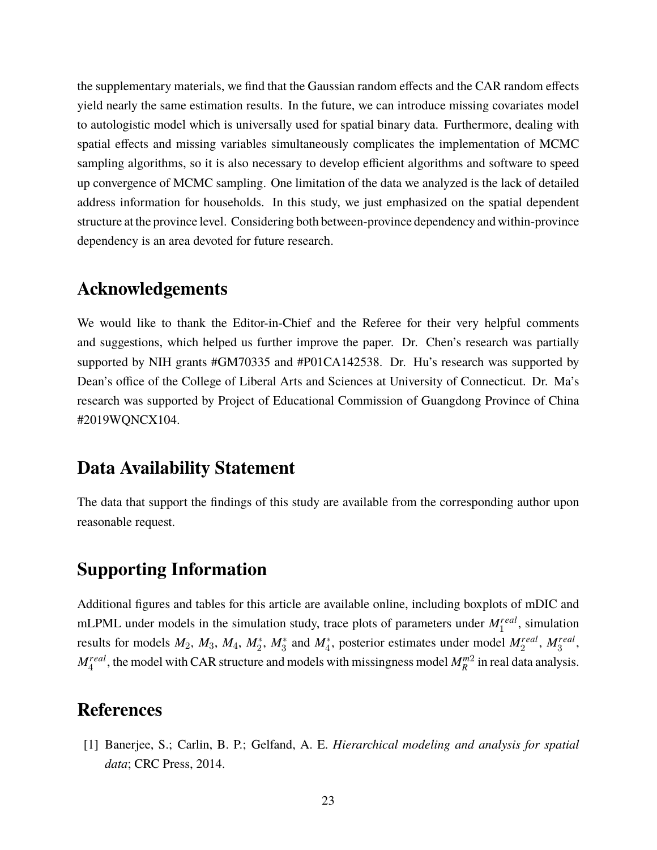the supplementary materials, we find that the Gaussian random effects and the CAR random effects yield nearly the same estimation results. In the future, we can introduce missing covariates model to autologistic model which is universally used for spatial binary data. Furthermore, dealing with spatial effects and missing variables simultaneously complicates the implementation of MCMC sampling algorithms, so it is also necessary to develop efficient algorithms and software to speed up convergence of MCMC sampling. One limitation of the data we analyzed is the lack of detailed address information for households. In this study, we just emphasized on the spatial dependent structure at the province level. Considering both between-province dependency and within-province dependency is an area devoted for future research.

### **Acknowledgements**

We would like to thank the Editor-in-Chief and the Referee for their very helpful comments and suggestions, which helped us further improve the paper. Dr. Chen's research was partially supported by NIH grants #GM70335 and #P01CA142538. Dr. Hu's research was supported by Dean's office of the College of Liberal Arts and Sciences at University of Connecticut. Dr. Ma's research was supported by Project of Educational Commission of Guangdong Province of China #2019WQNCX104.

### **Data Availability Statement**

The data that support the findings of this study are available from the corresponding author upon reasonable request.

### **Supporting Information**

Additional figures and tables for this article are available online, including boxplots of mDIC and mLPML under models in the simulation study, trace plots of parameters under  $M_1^{real}$ , simulation results for models  $M_2$ ,  $M_3$ ,  $M_4$ ,  $M_2^*$ ,  $M_3^*$  and  $M_4^*$ , posterior estimates under model  $M_2^{real}$ ,  $M_3^{real}$ ,  $M_4^{real}$ , the model with CAR structure and models with missingness model  $M_R^{m2}$  in real data analysis.

## **References**

<span id="page-22-0"></span>[1] Banerjee, S.; Carlin, B. P.; Gelfand, A. E. *Hierarchical modeling and analysis for spatial data*; CRC Press, 2014.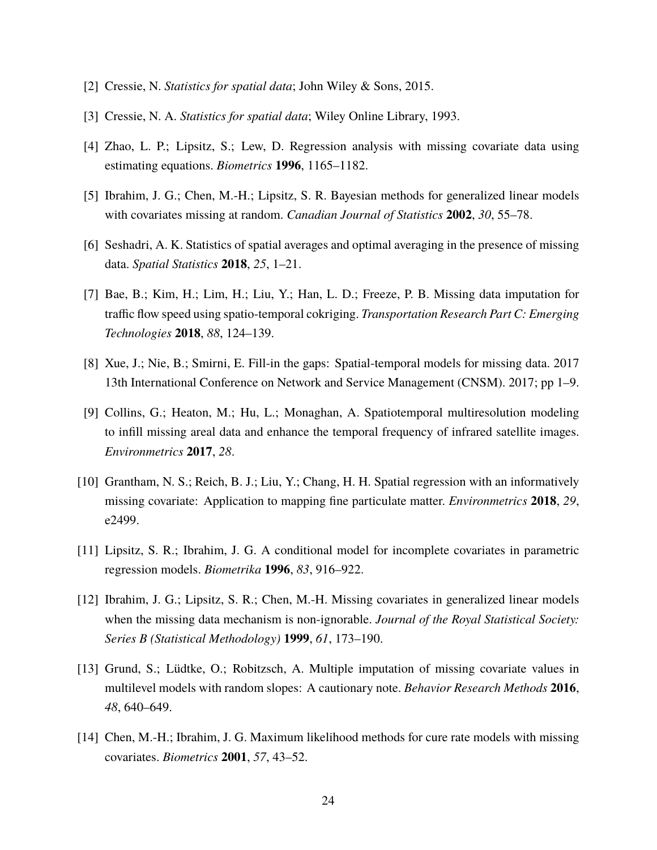- <span id="page-23-0"></span>[2] Cressie, N. *Statistics for spatial data*; John Wiley & Sons, 2015.
- <span id="page-23-1"></span>[3] Cressie, N. A. *Statistics for spatial data*; Wiley Online Library, 1993.
- <span id="page-23-2"></span>[4] Zhao, L. P.; Lipsitz, S.; Lew, D. Regression analysis with missing covariate data using estimating equations. *Biometrics* **1996**, 1165–1182.
- <span id="page-23-3"></span>[5] Ibrahim, J. G.; Chen, M.-H.; Lipsitz, S. R. Bayesian methods for generalized linear models with covariates missing at random. *Canadian Journal of Statistics* **2002**, *30*, 55–78.
- <span id="page-23-4"></span>[6] Seshadri, A. K. Statistics of spatial averages and optimal averaging in the presence of missing data. *Spatial Statistics* **2018**, *25*, 1–21.
- <span id="page-23-5"></span>[7] Bae, B.; Kim, H.; Lim, H.; Liu, Y.; Han, L. D.; Freeze, P. B. Missing data imputation for traffic flow speed using spatio-temporal cokriging. *Transportation Research Part C: Emerging Technologies* **2018**, *88*, 124–139.
- <span id="page-23-6"></span>[8] Xue, J.; Nie, B.; Smirni, E. Fill-in the gaps: Spatial-temporal models for missing data. 2017 13th International Conference on Network and Service Management (CNSM). 2017; pp 1–9.
- <span id="page-23-7"></span>[9] Collins, G.; Heaton, M.; Hu, L.; Monaghan, A. Spatiotemporal multiresolution modeling to infill missing areal data and enhance the temporal frequency of infrared satellite images. *Environmetrics* **2017**, *28*.
- <span id="page-23-8"></span>[10] Grantham, N. S.; Reich, B. J.; Liu, Y.; Chang, H. H. Spatial regression with an informatively missing covariate: Application to mapping fine particulate matter. *Environmetrics* **2018**, *29*, e2499.
- <span id="page-23-9"></span>[11] Lipsitz, S. R.; Ibrahim, J. G. A conditional model for incomplete covariates in parametric regression models. *Biometrika* **1996**, *83*, 916–922.
- <span id="page-23-10"></span>[12] Ibrahim, J. G.; Lipsitz, S. R.; Chen, M.-H. Missing covariates in generalized linear models when the missing data mechanism is non-ignorable. *Journal of the Royal Statistical Society: Series B (Statistical Methodology)* **1999**, *61*, 173–190.
- <span id="page-23-11"></span>[13] Grund, S.; Lüdtke, O.; Robitzsch, A. Multiple imputation of missing covariate values in multilevel models with random slopes: A cautionary note. *Behavior Research Methods* **2016**, *48*, 640–649.
- <span id="page-23-12"></span>[14] Chen, M.-H.; Ibrahim, J. G. Maximum likelihood methods for cure rate models with missing covariates. *Biometrics* **2001**, *57*, 43–52.